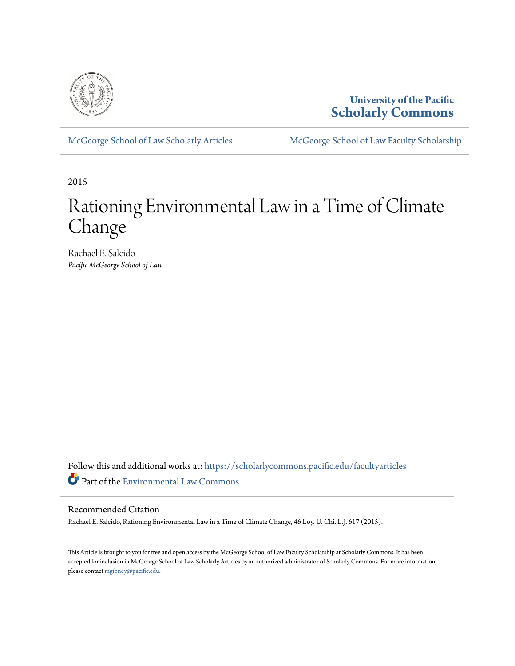

# **University of the Pacific [Scholarly Commons](https://scholarlycommons.pacific.edu?utm_source=scholarlycommons.pacific.edu%2Ffacultyarticles%2F256&utm_medium=PDF&utm_campaign=PDFCoverPages)**

[McGeorge School of Law Scholarly Articles](https://scholarlycommons.pacific.edu/facultyarticles?utm_source=scholarlycommons.pacific.edu%2Ffacultyarticles%2F256&utm_medium=PDF&utm_campaign=PDFCoverPages) [McGeorge School of Law Faculty Scholarship](https://scholarlycommons.pacific.edu/facultyscholarship?utm_source=scholarlycommons.pacific.edu%2Ffacultyarticles%2F256&utm_medium=PDF&utm_campaign=PDFCoverPages)

2015

# Rationing Environmental Law in a Time of Climate Change

Rachael E. Salcido *Pacific McGeorge School of Law*

Follow this and additional works at: [https://scholarlycommons.pacific.edu/facultyarticles](https://scholarlycommons.pacific.edu/facultyarticles?utm_source=scholarlycommons.pacific.edu%2Ffacultyarticles%2F256&utm_medium=PDF&utm_campaign=PDFCoverPages) Part of the [Environmental Law Commons](http://network.bepress.com/hgg/discipline/599?utm_source=scholarlycommons.pacific.edu%2Ffacultyarticles%2F256&utm_medium=PDF&utm_campaign=PDFCoverPages)

# Recommended Citation

Rachael E. Salcido, Rationing Environmental Law in a Time of Climate Change, 46 Loy. U. Chi. L.J. 617 (2015).

This Article is brought to you for free and open access by the McGeorge School of Law Faculty Scholarship at Scholarly Commons. It has been accepted for inclusion in McGeorge School of Law Scholarly Articles by an authorized administrator of Scholarly Commons. For more information, please contact [mgibney@pacific.edu](mailto:mgibney@pacific.edu).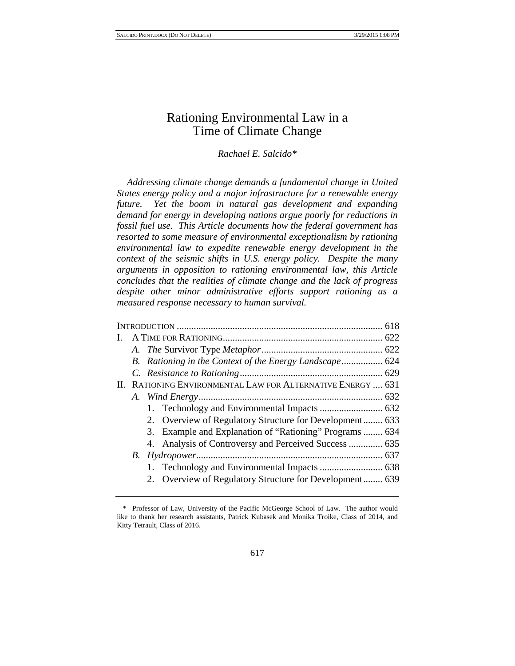# Rationing Environmental Law in a Time of Climate Change

*Rachael E. Salcido\** 

*Addressing climate change demands a fundamental change in United States energy policy and a major infrastructure for a renewable energy future. Yet the boom in natural gas development and expanding demand for energy in developing nations argue poorly for reductions in fossil fuel use. This Article documents how the federal government has resorted to some measure of environmental exceptionalism by rationing environmental law to expedite renewable energy development in the context of the seismic shifts in U.S. energy policy. Despite the many arguments in opposition to rationing environmental law, this Article concludes that the realities of climate change and the lack of progress despite other minor administrative efforts support rationing as a measured response necessary to human survival.* 

| L. |                                                             |  |
|----|-------------------------------------------------------------|--|
|    |                                                             |  |
|    |                                                             |  |
|    |                                                             |  |
|    | II. RATIONING ENVIRONMENTAL LAW FOR ALTERNATIVE ENERGY  631 |  |
|    |                                                             |  |
|    |                                                             |  |
|    | 2. Overview of Regulatory Structure for Development 633     |  |
|    | 3. Example and Explanation of "Rationing" Programs  634     |  |
|    |                                                             |  |
|    |                                                             |  |
|    |                                                             |  |
|    | 2. Overview of Regulatory Structure for Development 639     |  |

<sup>\*</sup> Professor of Law, University of the Pacific McGeorge School of Law. The author would like to thank her research assistants, Patrick Kubasek and Monika Troike, Class of 2014, and Kitty Tetrault, Class of 2016.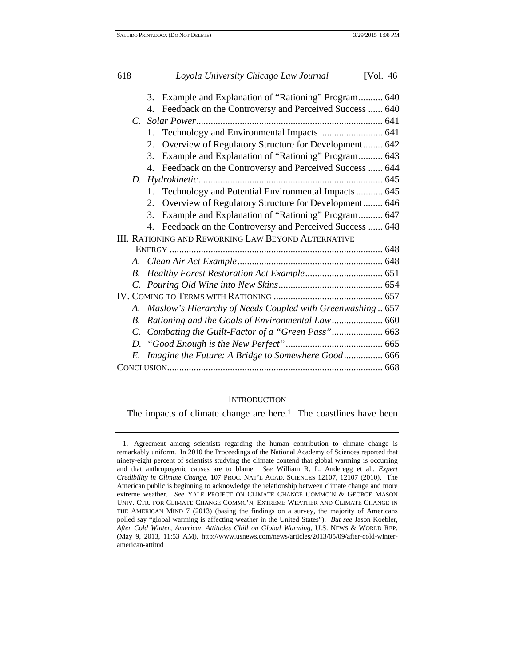|             | 3. Example and Explanation of "Rationing" Program 640         |  |
|-------------|---------------------------------------------------------------|--|
|             | 4. Feedback on the Controversy and Perceived Success  640     |  |
|             |                                                               |  |
|             | 1.                                                            |  |
|             | Overview of Regulatory Structure for Development 642<br>2.    |  |
|             | Example and Explanation of "Rationing" Program 643<br>3.      |  |
|             | 4. Feedback on the Controversy and Perceived Success  644     |  |
| D.          |                                                               |  |
|             | Technology and Potential Environmental Impacts 645<br>$1_{-}$ |  |
|             | 2. Overview of Regulatory Structure for Development 646       |  |
|             | Example and Explanation of "Rationing" Program 647<br>3.      |  |
|             | 4. Feedback on the Controversy and Perceived Success  648     |  |
|             | <b>III. RATIONING AND REWORKING LAW BEYOND ALTERNATIVE</b>    |  |
|             |                                                               |  |
|             |                                                               |  |
| $B_{\cdot}$ |                                                               |  |
|             |                                                               |  |
|             |                                                               |  |
|             | A. Maslow's Hierarchy of Needs Coupled with Greenwashing 657  |  |
| $R_{\cdot}$ |                                                               |  |
|             |                                                               |  |
|             |                                                               |  |
|             | Imagine the Future: A Bridge to Somewhere Good 666            |  |
|             |                                                               |  |
|             |                                                               |  |

#### **INTRODUCTION**

The impacts of climate change are here.<sup>1</sup> The coastlines have been

<sup>1.</sup> Agreement among scientists regarding the human contribution to climate change is remarkably uniform. In 2010 the Proceedings of the National Academy of Sciences reported that ninety-eight percent of scientists studying the climate contend that global warming is occurring and that anthropogenic causes are to blame. *See* William R. L. Anderegg et al., *Expert Credibility in Climate Change*, 107 PROC. NAT'L ACAD. SCIENCES 12107, 12107 (2010). The American public is beginning to acknowledge the relationship between climate change and more extreme weather. *See* YALE PROJECT ON CLIMATE CHANGE COMMC'N & GEORGE MASON UNIV. CTR. FOR CLIMATE CHANGE COMMC'N, EXTREME WEATHER AND CLIMATE CHANGE IN THE AMERICAN MIND 7 (2013) (basing the findings on a survey, the majority of Americans polled say "global warming is affecting weather in the United States"). *But see* Jason Koebler, *After Cold Winter, American Attitudes Chill on Global Warming*, U.S. NEWS & WORLD REP. (May 9, 2013, 11:53 AM), http://www.usnews.com/news/articles/2013/05/09/after-cold-winteramerican-attitud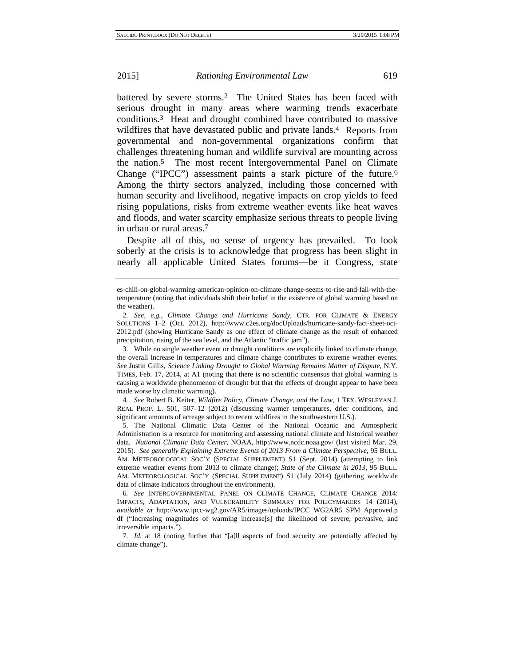battered by severe storms.2 The United States has been faced with serious drought in many areas where warming trends exacerbate conditions.3 Heat and drought combined have contributed to massive wildfires that have devastated public and private lands.<sup>4</sup> Reports from governmental and non-governmental organizations confirm that challenges threatening human and wildlife survival are mounting across the nation.5 The most recent Intergovernmental Panel on Climate Change ("IPCC") assessment paints a stark picture of the future.6 Among the thirty sectors analyzed, including those concerned with human security and livelihood, negative impacts on crop yields to feed rising populations, risks from extreme weather events like heat waves and floods, and water scarcity emphasize serious threats to people living in urban or rural areas.7

Despite all of this, no sense of urgency has prevailed. To look soberly at the crisis is to acknowledge that progress has been slight in nearly all applicable United States forums—be it Congress, state

4*. See* Robert B. Keiter, *Wildfire Policy, Climate Change, and the Law*, 1 TEX. WESLEYAN J. REAL PROP. L. 501, 507–12 (2012) (discussing warmer temperatures, drier conditions, and significant amounts of acreage subject to recent wildfires in the southwestern U.S.).

5. The National Climatic Data Center of the National Oceanic and Atmospheric Administration is a resource for monitoring and assessing national climate and historical weather data. *National Climatic Data Center*, NOAA, http://www.ncdc.noaa.gov/ (last visited Mar. 29, 2015). *See generally Explaining Extreme Events of 2013 From a Climate Perspective*, 95 BULL. AM. METEOROLOGICAL SOC'Y (SPECIAL SUPPLEMENT) S1 (Sept. 2014) (attempting to link extreme weather events from 2013 to climate change); *State of the Climate in 2013*, 95 BULL. AM. METEOROLOGICAL SOC'Y (SPECIAL SUPPLEMENT) S1 (July 2014) (gathering worldwide data of climate indicators throughout the environment).

6*. See* INTERGOVERNMENTAL PANEL ON CLIMATE CHANGE, CLIMATE CHANGE 2014: IMPACTS, ADAPTATION, AND VULNERABILITY SUMMARY FOR POLICYMAKERS 14 (2014), *available at* http://www.ipcc-wg2.gov/AR5/images/uploads/IPCC\_WG2AR5\_SPM\_Approved.p df ("Increasing magnitudes of warming increase[s] the likelihood of severe, pervasive, and irreversible impacts.").

7*. Id.* at 18 (noting further that "[a]ll aspects of food security are potentially affected by climate change").

es-chill-on-global-warming-american-opinion-on-climate-change-seems-to-rise-and-fall-with-thetemperature (noting that individuals shift their belief in the existence of global warming based on the weather).

<sup>2</sup>*. See, e.g.*, *Climate Change and Hurricane Sandy*, CTR. FOR CLIMATE & ENERGY SOLUTIONS 1–2 (Oct. 2012), http://www.c2es.org/docUploads/hurricane-sandy-fact-sheet-oct-2012.pdf (showing Hurricane Sandy as one effect of climate change as the result of enhanced precipitation, rising of the sea level, and the Atlantic "traffic jam").

<sup>3.</sup> While no single weather event or drought conditions are explicitly linked to climate change, the overall increase in temperatures and climate change contributes to extreme weather events. *See* Justin Gillis, *Science Linking Drought to Global Warming Remains Matter of Dispute*, N.Y. TIMES, Feb. 17, 2014, at A1 (noting that there is no scientific consensus that global warming is causing a worldwide phenomenon of drought but that the effects of drought appear to have been made worse by climatic warming).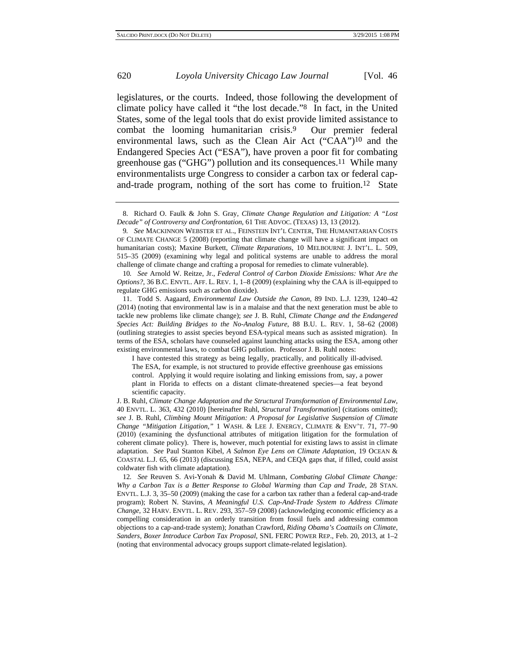legislatures, or the courts. Indeed, those following the development of climate policy have called it "the lost decade."8 In fact, in the United States, some of the legal tools that do exist provide limited assistance to combat the looming humanitarian crisis.9 Our premier federal environmental laws, such as the Clean Air Act ("CAA")10 and the Endangered Species Act ("ESA"), have proven a poor fit for combating greenhouse gas ("GHG") pollution and its consequences.11 While many environmentalists urge Congress to consider a carbon tax or federal capand-trade program, nothing of the sort has come to fruition.12 State

10*. See* Arnold W. Reitze, Jr., *Federal Control of Carbon Dioxide Emissions: What Are the Options?*, 36 B.C. ENVTL. AFF. L. REV. 1, 1–8 (2009) (explaining why the CAA is ill-equipped to regulate GHG emissions such as carbon dioxide).

11. Todd S. Aagaard, *Environmental Law Outside the Canon*, 89 IND. L.J. 1239, 1240–42 (2014) (noting that environmental law is in a malaise and that the next generation must be able to tackle new problems like climate change); *see* J. B. Ruhl, *Climate Change and the Endangered Species Act: Building Bridges to the No-Analog Future*, 88 B.U. L. REV. 1, 58–62 (2008) (outlining strategies to assist species beyond ESA-typical means such as assisted migration). In terms of the ESA, scholars have counseled against launching attacks using the ESA, among other existing environmental laws, to combat GHG pollution. Professor J. B. Ruhl notes:

I have contested this strategy as being legally, practically, and politically ill-advised. The ESA, for example, is not structured to provide effective greenhouse gas emissions control. Applying it would require isolating and linking emissions from, say, a power plant in Florida to effects on a distant climate-threatened species—a feat beyond scientific capacity.

J. B. Ruhl, *Climate Change Adaptation and the Structural Transformation of Environmental Law*, 40 ENVTL. L. 363, 432 (2010) [hereinafter Ruhl, *Structural Transformation*] (citations omitted); *see* J. B. Ruhl, *Climbing Mount Mitigation: A Proposal for Legislative Suspension of Climate Change "Mitigation Litigation*,*"* 1 WASH. & LEE J. ENERGY, CLIMATE & ENV'T. 71, 77–90 (2010) (examining the dysfunctional attributes of mitigation litigation for the formulation of coherent climate policy). There is, however, much potential for existing laws to assist in climate adaptation. *See* Paul Stanton Kibel, *A Salmon Eye Lens on Climate Adaptation*, 19 OCEAN & COASTAL L.J. 65, 66 (2013) (discussing ESA, NEPA, and CEQA gaps that, if filled, could assist coldwater fish with climate adaptation).

12*. See* Reuven S. Avi-Yonah & David M. Uhlmann, *Combating Global Climate Change: Why a Carbon Tax is a Better Response to Global Warming than Cap and Trade*, 28 STAN. ENVTL. L.J. 3, 35–50 (2009) (making the case for a carbon tax rather than a federal cap-and-trade program); Robert N. Stavins, *A Meaningful U.S. Cap-And-Trade System to Address Climate Change*, 32 HARV. ENVTL. L. REV. 293, 357–59 (2008) (acknowledging economic efficiency as a compelling consideration in an orderly transition from fossil fuels and addressing common objections to a cap-and-trade system); Jonathan Crawford, *Riding Obama's Coattails on Climate, Sanders, Boxer Introduce Carbon Tax Proposal*, SNL FERC POWER REP., Feb. 20, 2013, at 1–2 (noting that environmental advocacy groups support climate-related legislation).

<sup>8.</sup> Richard O. Faulk & John S. Gray, *Climate Change Regulation and Litigation: A "Lost Decade" of Controversy and Confrontation*, 61 THE ADVOC. (TEXAS) 13, 13 (2012).

<sup>9</sup>*. See* MACKINNON WEBSTER ET AL., FEINSTEIN INT'L CENTER, THE HUMANITARIAN COSTS OF CLIMATE CHANGE 5 (2008) (reporting that climate change will have a significant impact on humanitarian costs); Maxine Burkett, *Climate Reparations*, 10 MELBOURNE J. INT'L. L. 509, 515–35 (2009) (examining why legal and political systems are unable to address the moral challenge of climate change and crafting a proposal for remedies to climate vulnerable).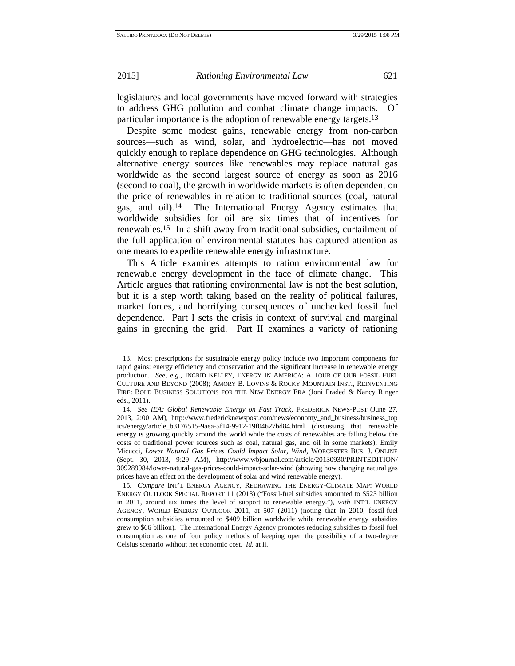legislatures and local governments have moved forward with strategies to address GHG pollution and combat climate change impacts. Of particular importance is the adoption of renewable energy targets.13

Despite some modest gains, renewable energy from non-carbon sources—such as wind, solar, and hydroelectric—has not moved quickly enough to replace dependence on GHG technologies. Although alternative energy sources like renewables may replace natural gas worldwide as the second largest source of energy as soon as 2016 (second to coal), the growth in worldwide markets is often dependent on the price of renewables in relation to traditional sources (coal, natural gas, and oil).14 The International Energy Agency estimates that worldwide subsidies for oil are six times that of incentives for renewables.15 In a shift away from traditional subsidies, curtailment of the full application of environmental statutes has captured attention as one means to expedite renewable energy infrastructure.

This Article examines attempts to ration environmental law for renewable energy development in the face of climate change. This Article argues that rationing environmental law is not the best solution, but it is a step worth taking based on the reality of political failures, market forces, and horrifying consequences of unchecked fossil fuel dependence. Part I sets the crisis in context of survival and marginal gains in greening the grid. Part II examines a variety of rationing

<sup>13.</sup> Most prescriptions for sustainable energy policy include two important components for rapid gains: energy efficiency and conservation and the significant increase in renewable energy production. *See, e.g.*, INGRID KELLEY, ENERGY IN AMERICA: A TOUR OF OUR FOSSIL FUEL CULTURE AND BEYOND (2008); AMORY B. LOVINS & ROCKY MOUNTAIN INST., REINVENTING FIRE: BOLD BUSINESS SOLUTIONS FOR THE NEW ENERGY ERA (Joni Praded & Nancy Ringer eds., 2011).

<sup>14</sup>*. See IEA: Global Renewable Energy on Fast Track*, FREDERICK NEWS-POST (June 27, 2013, 2:00 AM), http://www.fredericknewspost.com/news/economy\_and\_business/business\_top ics/energy/article\_b3176515-9aea-5f14-9912-19f04627bd84.html (discussing that renewable energy is growing quickly around the world while the costs of renewables are falling below the costs of traditional power sources such as coal, natural gas, and oil in some markets); Emily Micucci, *Lower Natural Gas Prices Could Impact Solar, Wind*, WORCESTER BUS. J. ONLINE (Sept. 30, 2013, 9:29 AM), http://www.wbjournal.com/article/20130930/PRINTEDITION/ 309289984/lower-natural-gas-prices-could-impact-solar-wind (showing how changing natural gas prices have an effect on the development of solar and wind renewable energy).

<sup>15</sup>*. Compare* INT'L ENERGY AGENCY, REDRAWING THE ENERGY-CLIMATE MAP: WORLD ENERGY OUTLOOK SPECIAL REPORT 11 (2013) ("Fossil-fuel subsidies amounted to \$523 billion in 2011, around six times the level of support to renewable energy."), *with* INT'L ENERGY AGENCY, WORLD ENERGY OUTLOOK 2011, at 507 (2011) (noting that in 2010, fossil-fuel consumption subsidies amounted to \$409 billion worldwide while renewable energy subsidies grew to \$66 billion). The International Energy Agency promotes reducing subsidies to fossil fuel consumption as one of four policy methods of keeping open the possibility of a two-degree Celsius scenario without net economic cost. *Id.* at ii.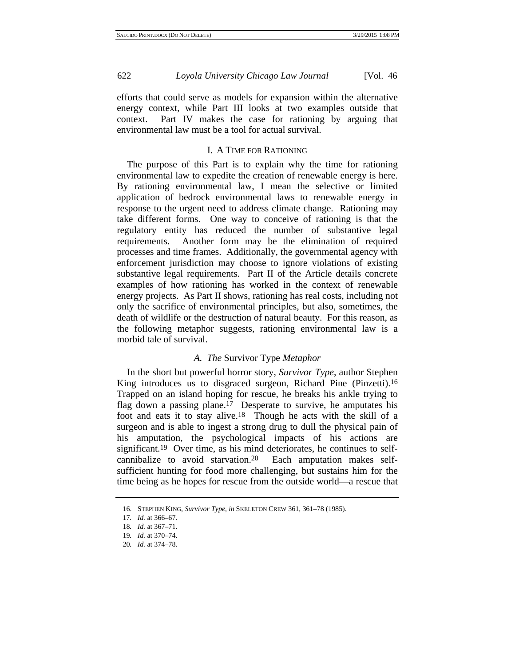efforts that could serve as models for expansion within the alternative energy context, while Part III looks at two examples outside that context. Part IV makes the case for rationing by arguing that environmental law must be a tool for actual survival.

# I. A TIME FOR RATIONING

The purpose of this Part is to explain why the time for rationing environmental law to expedite the creation of renewable energy is here. By rationing environmental law, I mean the selective or limited application of bedrock environmental laws to renewable energy in response to the urgent need to address climate change. Rationing may take different forms. One way to conceive of rationing is that the regulatory entity has reduced the number of substantive legal requirements. Another form may be the elimination of required processes and time frames. Additionally, the governmental agency with enforcement jurisdiction may choose to ignore violations of existing substantive legal requirements. Part II of the Article details concrete examples of how rationing has worked in the context of renewable energy projects. As Part II shows, rationing has real costs, including not only the sacrifice of environmental principles, but also, sometimes, the death of wildlife or the destruction of natural beauty. For this reason, as the following metaphor suggests, rationing environmental law is a morbid tale of survival.

# *A. The* Survivor Type *Metaphor*

In the short but powerful horror story, *Survivor Type*, author Stephen King introduces us to disgraced surgeon, Richard Pine (Pinzetti).16 Trapped on an island hoping for rescue, he breaks his ankle trying to flag down a passing plane.17 Desperate to survive, he amputates his foot and eats it to stay alive.18 Though he acts with the skill of a surgeon and is able to ingest a strong drug to dull the physical pain of his amputation, the psychological impacts of his actions are significant.<sup>19</sup> Over time, as his mind deteriorates, he continues to selfcannibalize to avoid starvation.20 Each amputation makes selfsufficient hunting for food more challenging, but sustains him for the time being as he hopes for rescue from the outside world—a rescue that

<sup>16.</sup> STEPHEN KING, *Survivor Type*, *in* SKELETON CREW 361, 361–78 (1985).

<sup>17</sup>*. Id.* at 366–67.

<sup>18</sup>*. Id.* at 367–71.

<sup>19</sup>*. Id.* at 370–74.

<sup>20</sup>*. Id.* at 374–78.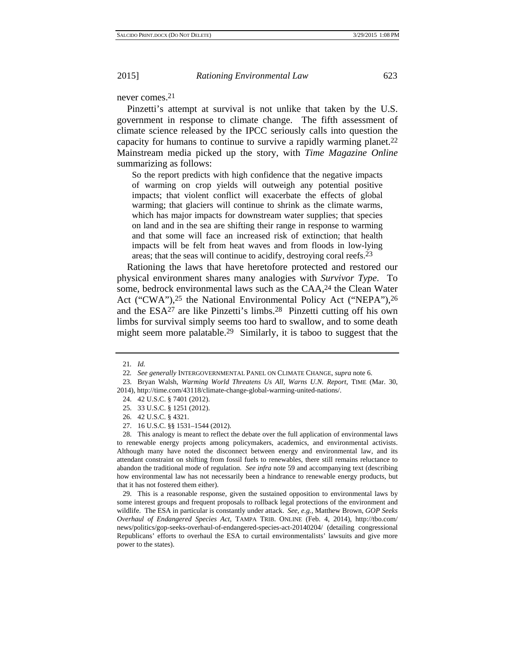never comes.21

Pinzetti's attempt at survival is not unlike that taken by the U.S. government in response to climate change. The fifth assessment of climate science released by the IPCC seriously calls into question the capacity for humans to continue to survive a rapidly warming planet.22 Mainstream media picked up the story, with *Time Magazine Online* summarizing as follows:

So the report predicts with high confidence that the negative impacts of warming on crop yields will outweigh any potential positive impacts; that violent conflict will exacerbate the effects of global warming; that glaciers will continue to shrink as the climate warms, which has major impacts for downstream water supplies; that species on land and in the sea are shifting their range in response to warming and that some will face an increased risk of extinction; that health impacts will be felt from heat waves and from floods in low-lying areas; that the seas will continue to acidify, destroying coral reefs.23

Rationing the laws that have heretofore protected and restored our physical environment shares many analogies with *Survivor Type*. To some, bedrock environmental laws such as the CAA,24 the Clean Water Act ("CWA"),<sup>25</sup> the National Environmental Policy Act ("NEPA"),<sup>26</sup> and the ESA27 are like Pinzetti's limbs.28 Pinzetti cutting off his own limbs for survival simply seems too hard to swallow, and to some death might seem more palatable.29 Similarly, it is taboo to suggest that the

27. 16 U.S.C. §§ 1531–1544 (2012).

28. This analogy is meant to reflect the debate over the full application of environmental laws to renewable energy projects among policymakers, academics, and environmental activists. Although many have noted the disconnect between energy and environmental law, and its attendant constraint on shifting from fossil fuels to renewables, there still remains reluctance to abandon the traditional mode of regulation. *See infra* note 59 and accompanying text (describing how environmental law has not necessarily been a hindrance to renewable energy products, but that it has not fostered them either).

29. This is a reasonable response, given the sustained opposition to environmental laws by some interest groups and frequent proposals to rollback legal protections of the environment and wildlife. The ESA in particular is constantly under attack. *See, e.g.*, Matthew Brown, *GOP Seeks Overhaul of Endangered Species Act*, TAMPA TRIB. ONLINE (Feb. 4, 2014), http://tbo.com/ news/politics/gop-seeks-overhaul-of-endangered-species-act-20140204/ (detailing congressional Republicans' efforts to overhaul the ESA to curtail environmentalists' lawsuits and give more power to the states).

<sup>21</sup>*. Id.*

<sup>22</sup>*. See generally* INTERGOVERNMENTAL PANEL ON CLIMATE CHANGE, *supra* note 6.

<sup>23.</sup> Bryan Walsh, *Warming World Threatens Us All, Warns U.N. Report*, TIME (Mar. 30, 2014), http://time.com/43118/climate-change-global-warming-united-nations/.

<sup>24. 42</sup> U.S.C. § 7401 (2012).

<sup>25. 33</sup> U.S.C. § 1251 (2012).

<sup>26. 42</sup> U.S.C. § 4321.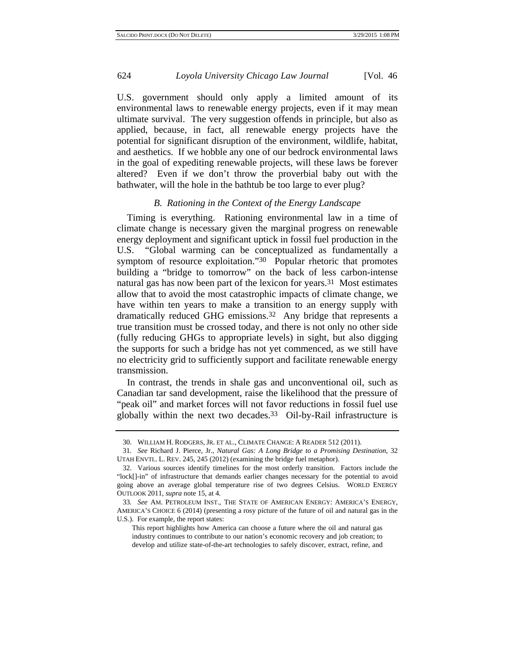U.S. government should only apply a limited amount of its environmental laws to renewable energy projects, even if it may mean ultimate survival. The very suggestion offends in principle, but also as applied, because, in fact, all renewable energy projects have the potential for significant disruption of the environment, wildlife, habitat, and aesthetics. If we hobble any one of our bedrock environmental laws in the goal of expediting renewable projects, will these laws be forever altered? Even if we don't throw the proverbial baby out with the bathwater, will the hole in the bathtub be too large to ever plug?

#### *B. Rationing in the Context of the Energy Landscape*

Timing is everything. Rationing environmental law in a time of climate change is necessary given the marginal progress on renewable energy deployment and significant uptick in fossil fuel production in the U.S. "Global warming can be conceptualized as fundamentally a symptom of resource exploitation."<sup>30</sup> Popular rhetoric that promotes building a "bridge to tomorrow" on the back of less carbon-intense natural gas has now been part of the lexicon for years.31 Most estimates allow that to avoid the most catastrophic impacts of climate change, we have within ten years to make a transition to an energy supply with dramatically reduced GHG emissions.32 Any bridge that represents a true transition must be crossed today, and there is not only no other side (fully reducing GHGs to appropriate levels) in sight, but also digging the supports for such a bridge has not yet commenced, as we still have no electricity grid to sufficiently support and facilitate renewable energy transmission.

In contrast, the trends in shale gas and unconventional oil, such as Canadian tar sand development, raise the likelihood that the pressure of "peak oil" and market forces will not favor reductions in fossil fuel use globally within the next two decades.33 Oil-by-Rail infrastructure is

This report highlights how America can choose a future where the oil and natural gas industry continues to contribute to our nation's economic recovery and job creation; to develop and utilize state-of-the-art technologies to safely discover, extract, refine, and

<sup>30.</sup> WILLIAM H. RODGERS, JR. ET AL., CLIMATE CHANGE: A READER 512 (2011).

<sup>31</sup>*. See* Richard J. Pierce, Jr., *Natural Gas: A Long Bridge to a Promising Destination*, 32 UTAH ENVTL. L. REV. 245, 245 (2012) (examining the bridge fuel metaphor).

<sup>32.</sup> Various sources identify timelines for the most orderly transition. Factors include the "lock[]-in" of infrastructure that demands earlier changes necessary for the potential to avoid going above an average global temperature rise of two degrees Celsius. WORLD ENERGY OUTLOOK 2011, *supra* note 15, at 4.

<sup>33</sup>*. See* AM. PETROLEUM INST., THE STATE OF AMERICAN ENERGY: AMERICA'S ENERGY, AMERICA'S CHOICE 6 (2014) (presenting a rosy picture of the future of oil and natural gas in the U.S.). For example, the report states: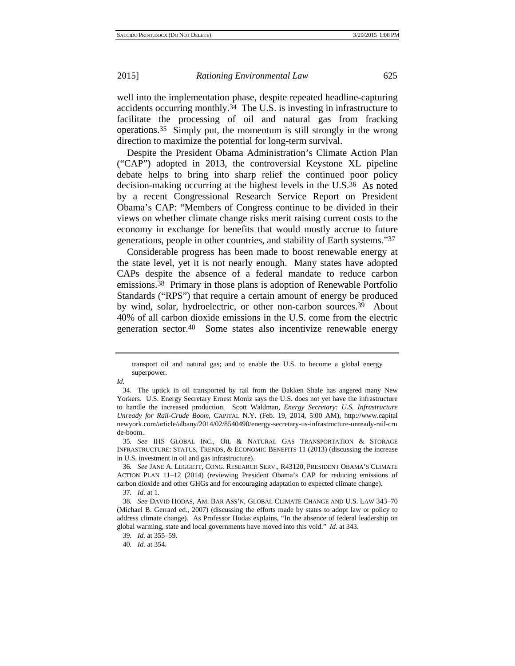well into the implementation phase, despite repeated headline-capturing accidents occurring monthly. $34$  The U.S. is investing in infrastructure to facilitate the processing of oil and natural gas from fracking operations.35 Simply put, the momentum is still strongly in the wrong direction to maximize the potential for long-term survival.

Despite the President Obama Administration's Climate Action Plan ("CAP") adopted in 2013, the controversial Keystone XL pipeline debate helps to bring into sharp relief the continued poor policy decision-making occurring at the highest levels in the U.S.36 As noted by a recent Congressional Research Service Report on President Obama's CAP: "Members of Congress continue to be divided in their views on whether climate change risks merit raising current costs to the economy in exchange for benefits that would mostly accrue to future generations, people in other countries, and stability of Earth systems."37

Considerable progress has been made to boost renewable energy at the state level, yet it is not nearly enough. Many states have adopted CAPs despite the absence of a federal mandate to reduce carbon emissions.38 Primary in those plans is adoption of Renewable Portfolio Standards ("RPS") that require a certain amount of energy be produced by wind, solar, hydroelectric, or other non-carbon sources.<sup>39</sup> About 40% of all carbon dioxide emissions in the U.S. come from the electric generation sector.40 Some states also incentivize renewable energy

*Id.*

transport oil and natural gas; and to enable the U.S. to become a global energy superpower.

<sup>34.</sup> The uptick in oil transported by rail from the Bakken Shale has angered many New Yorkers. U.S. Energy Secretary Ernest Moniz says the U.S. does not yet have the infrastructure to handle the increased production. Scott Waldman, *Energy Secretary: U.S. Infrastructure Unready for Rail-Crude Boom*, CAPITAL N.Y. (Feb. 19, 2014, 5:00 AM), http://www.capital newyork.com/article/albany/2014/02/8540490/energy-secretary-us-infrastructure-unready-rail-cru de-boom.

<sup>35</sup>*. See* IHS GLOBAL INC., OIL & NATURAL GAS TRANSPORTATION & STORAGE INFRASTRUCTURE: STATUS, TRENDS, & ECONOMIC BENEFITS 11 (2013) (discussing the increase in U.S. investment in oil and gas infrastructure).

<sup>36</sup>*. See* JANE A. LEGGETT, CONG. RESEARCH SERV., R43120, PRESIDENT OBAMA'S CLIMATE ACTION PLAN 11–12 (2014) (reviewing President Obama's CAP for reducing emissions of carbon dioxide and other GHGs and for encouraging adaptation to expected climate change).

<sup>37</sup>*. Id.* at 1.

<sup>38</sup>*. See* DAVID HODAS, AM. BAR ASS'N, GLOBAL CLIMATE CHANGE AND U.S. LAW 343–70 (Michael B. Gerrard ed., 2007) (discussing the efforts made by states to adopt law or policy to address climate change). As Professor Hodas explains, "In the absence of federal leadership on global warming, state and local governments have moved into this void." *Id.* at 343.

<sup>39</sup>*. Id.* at 355–59.

<sup>40</sup>*. Id.* at 354.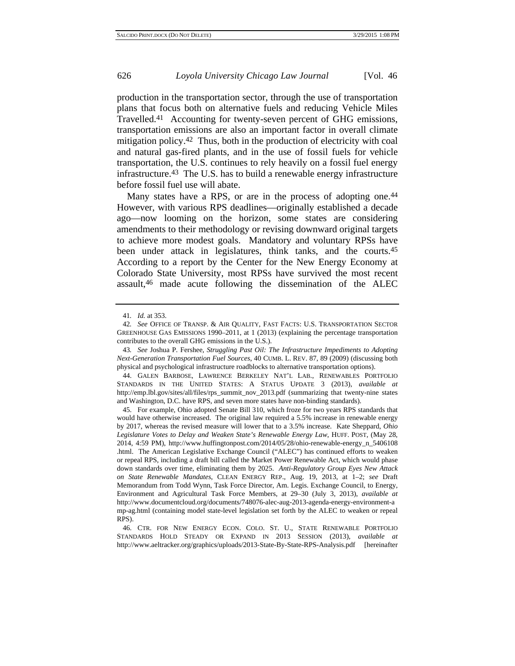production in the transportation sector, through the use of transportation plans that focus both on alternative fuels and reducing Vehicle Miles Travelled.41 Accounting for twenty-seven percent of GHG emissions, transportation emissions are also an important factor in overall climate mitigation policy.42 Thus, both in the production of electricity with coal and natural gas-fired plants, and in the use of fossil fuels for vehicle transportation, the U.S. continues to rely heavily on a fossil fuel energy infrastructure.43 The U.S. has to build a renewable energy infrastructure before fossil fuel use will abate.

Many states have a RPS, or are in the process of adopting one.<sup>44</sup> However, with various RPS deadlines—originally established a decade ago—now looming on the horizon, some states are considering amendments to their methodology or revising downward original targets to achieve more modest goals. Mandatory and voluntary RPSs have been under attack in legislatures, think tanks, and the courts.45 According to a report by the Center for the New Energy Economy at Colorado State University, most RPSs have survived the most recent assault,46 made acute following the dissemination of the ALEC

43*. See* Joshua P. Fershee, *Struggling Past Oil: The Infrastructure Impediments to Adopting Next-Generation Transportation Fuel Sources*, 40 CUMB. L. REV. 87, 89 (2009) (discussing both physical and psychological infrastructure roadblocks to alternative transportation options).

44. GALEN BARBOSE, LAWRENCE BERKELEY NAT'L LAB., RENEWABLES PORTFOLIO STANDARDS IN THE UNITED STATES: A STATUS UPDATE 3 (2013), *available at* http://emp.lbl.gov/sites/all/files/rps\_summit\_nov\_2013.pdf (summarizing that twenty-nine states and Washington, D.C. have RPS, and seven more states have non-binding standards).

45. For example, Ohio adopted Senate Bill 310, which froze for two years RPS standards that would have otherwise increased. The original law required a 5.5% increase in renewable energy by 2017, whereas the revised measure will lower that to a 3.5% increase. Kate Sheppard, *Ohio Legislature Votes to Delay and Weaken State's Renewable Energy Law*, HUFF. POST, (May 28, 2014, 4:59 PM), http://www.huffingtonpost.com/2014/05/28/ohio-renewable-energy\_n\_5406108 .html. The American Legislative Exchange Council ("ALEC") has continued efforts to weaken or repeal RPS, including a draft bill called the Market Power Renewable Act, which would phase down standards over time, eliminating them by 2025. *Anti-Regulatory Group Eyes New Attack on State Renewable Mandates*, CLEAN ENERGY REP., Aug. 19, 2013, at 1–2; *see* Draft Memorandum from Todd Wynn, Task Force Director, Am. Legis. Exchange Council, to Energy, Environment and Agricultural Task Force Members, at 29–30 (July 3, 2013), *available at* http://www.documentcloud.org/documents/748076-alec-aug-2013-agenda-energy-environment-a mp-ag.html (containing model state-level legislation set forth by the ALEC to weaken or repeal RPS).

46. CTR. FOR NEW ENERGY ECON. COLO. ST. U., STATE RENEWABLE PORTFOLIO STANDARDS HOLD STEADY OR EXPAND IN 2013 SESSION (2013), *available at* http://www.aeltracker.org/graphics/uploads/2013-State-By-State-RPS-Analysis.pdf [hereinafter

<sup>41</sup>*. Id.* at 353.

<sup>42</sup>*. See* OFFICE OF TRANSP. & AIR QUALITY, FAST FACTS: U.S. TRANSPORTATION SECTOR GREENHOUSE GAS EMISSIONS 1990–2011, at 1 (2013) (explaining the percentage transportation contributes to the overall GHG emissions in the U.S.).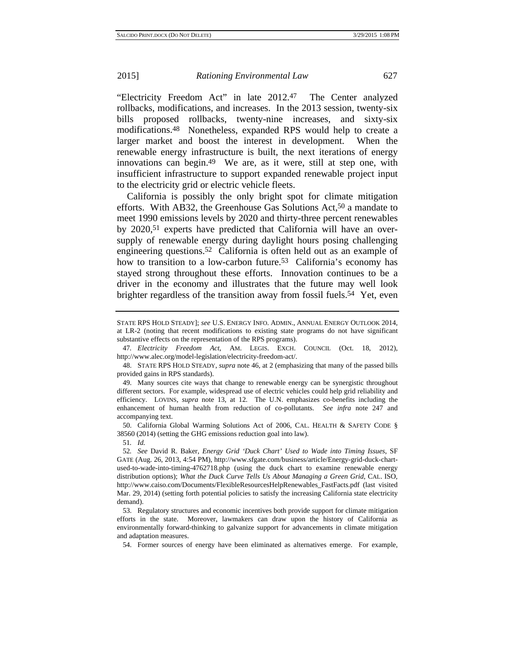"Electricity Freedom Act" in late 2012.47 The Center analyzed rollbacks, modifications, and increases. In the 2013 session, twenty-six bills proposed rollbacks, twenty-nine increases, and sixty-six modifications.48 Nonetheless, expanded RPS would help to create a larger market and boost the interest in development. When the renewable energy infrastructure is built, the next iterations of energy innovations can begin.49 We are, as it were, still at step one, with insufficient infrastructure to support expanded renewable project input to the electricity grid or electric vehicle fleets.

California is possibly the only bright spot for climate mitigation efforts. With AB32, the Greenhouse Gas Solutions Act,<sup>50</sup> a mandate to meet 1990 emissions levels by 2020 and thirty-three percent renewables by 2020,51 experts have predicted that California will have an oversupply of renewable energy during daylight hours posing challenging engineering questions.52 California is often held out as an example of how to transition to a low-carbon future.<sup>53</sup> California's economy has stayed strong throughout these efforts. Innovation continues to be a driver in the economy and illustrates that the future may well look brighter regardless of the transition away from fossil fuels.<sup>54</sup> Yet, even

48. STATE RPS HOLD STEADY, *supra* note 46, at 2 (emphasizing that many of the passed bills provided gains in RPS standards).

49. Many sources cite ways that change to renewable energy can be synergistic throughout different sectors. For example, widespread use of electric vehicles could help grid reliability and efficiency. LOVINS, *supra* note 13, at 12. The U.N. emphasizes co-benefits including the enhancement of human health from reduction of co-pollutants. *See infra* note 247 and accompanying text.

50. California Global Warming Solutions Act of 2006, CAL. HEALTH & SAFETY CODE § 38560 (2014) (setting the GHG emissions reduction goal into law).

51*. Id.*

52*. See* David R. Baker, *Energy Grid 'Duck Chart' Used to Wade into Timing Issues*, SF GATE (Aug. 26, 2013, 4:54 PM), http://www.sfgate.com/business/article/Energy-grid-duck-chartused-to-wade-into-timing-4762718.php (using the duck chart to examine renewable energy distribution options); *What the Duck Curve Tells Us About Managing a Green Grid*, CAL. ISO, http://www.caiso.com/Documents/FlexibleResourcesHelpRenewables\_FastFacts.pdf (last visited Mar. 29, 2014) (setting forth potential policies to satisfy the increasing California state electricity demand).

53. Regulatory structures and economic incentives both provide support for climate mitigation efforts in the state. Moreover, lawmakers can draw upon the history of California as environmentally forward-thinking to galvanize support for advancements in climate mitigation and adaptation measures.

54. Former sources of energy have been eliminated as alternatives emerge. For example,

STATE RPS HOLD STEADY]; *see* U.S. ENERGY INFO. ADMIN., ANNUAL ENERGY OUTLOOK 2014, at LR-2 (noting that recent modifications to existing state programs do not have significant substantive effects on the representation of the RPS programs).

<sup>47</sup>*. Electricity Freedom Act*, AM. LEGIS. EXCH. COUNCIL (Oct. 18, 2012), http://www.alec.org/model-legislation/electricity-freedom-act/.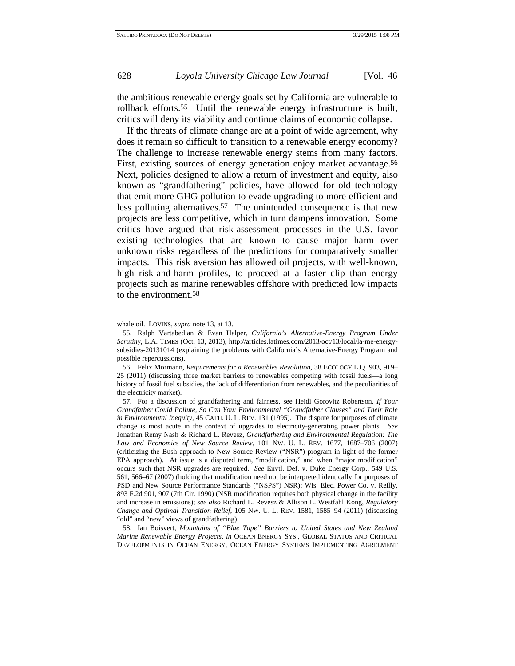the ambitious renewable energy goals set by California are vulnerable to rollback efforts.55 Until the renewable energy infrastructure is built, critics will deny its viability and continue claims of economic collapse.

If the threats of climate change are at a point of wide agreement, why does it remain so difficult to transition to a renewable energy economy? The challenge to increase renewable energy stems from many factors. First, existing sources of energy generation enjoy market advantage.<sup>56</sup> Next, policies designed to allow a return of investment and equity, also known as "grandfathering" policies, have allowed for old technology that emit more GHG pollution to evade upgrading to more efficient and less polluting alternatives.<sup>57</sup> The unintended consequence is that new projects are less competitive, which in turn dampens innovation. Some critics have argued that risk-assessment processes in the U.S. favor existing technologies that are known to cause major harm over unknown risks regardless of the predictions for comparatively smaller impacts. This risk aversion has allowed oil projects, with well-known, high risk-and-harm profiles, to proceed at a faster clip than energy projects such as marine renewables offshore with predicted low impacts to the environment.58

whale oil. LOVINS, *supra* note 13, at 13.

<sup>55.</sup> Ralph Vartabedian & Evan Halper, *California's Alternative-Energy Program Under Scrutiny*, L.A. TIMES (Oct. 13, 2013), http://articles.latimes.com/2013/oct/13/local/la-me-energysubsidies-20131014 (explaining the problems with California's Alternative-Energy Program and possible repercussions).

<sup>56.</sup> Felix Mormann, *Requirements for a Renewables Revolution*, 38 ECOLOGY L.Q. 903, 919– 25 (2011) (discussing three market barriers to renewables competing with fossil fuels—a long history of fossil fuel subsidies, the lack of differentiation from renewables, and the peculiarities of the electricity market).

<sup>57.</sup> For a discussion of grandfathering and fairness, see Heidi Gorovitz Robertson, *If Your Grandfather Could Pollute, So Can You: Environmental "Grandfather Clauses" and Their Role in Environmental Inequity*, 45 CATH. U. L. REV. 131 (1995). The dispute for purposes of climate change is most acute in the context of upgrades to electricity-generating power plants. *See* Jonathan Remy Nash & Richard L. Revesz, *Grandfathering and Environmental Regulation: The Law and Economics of New Source Review*, 101 NW. U. L. REV. 1677, 1687–706 (2007) (criticizing the Bush approach to New Source Review ("NSR") program in light of the former EPA approach). At issue is a disputed term, "modification," and when "major modification" occurs such that NSR upgrades are required. *See* Envtl. Def. v. Duke Energy Corp., 549 U.S. 561, 566–67 (2007) (holding that modification need not be interpreted identically for purposes of PSD and New Source Performance Standards ("NSPS") NSR); Wis. Elec. Power Co. v. Reilly, 893 F.2d 901, 907 (7th Cir. 1990) (NSR modification requires both physical change in the facility and increase in emissions); *see also* Richard L. Revesz & Allison L. Westfahl Kong, *Regulatory Change and Optimal Transition Relief*, 105 NW. U. L. REV. 1581, 1585–94 (2011) (discussing "old" and "new" views of grandfathering).

<sup>58.</sup> Ian Boisvert, *Mountains of "Blue Tape" Barriers to United States and New Zealand Marine Renewable Energy Projects*, *in* OCEAN ENERGY SYS., GLOBAL STATUS AND CRITICAL DEVELOPMENTS IN OCEAN ENERGY, OCEAN ENERGY SYSTEMS IMPLEMENTING AGREEMENT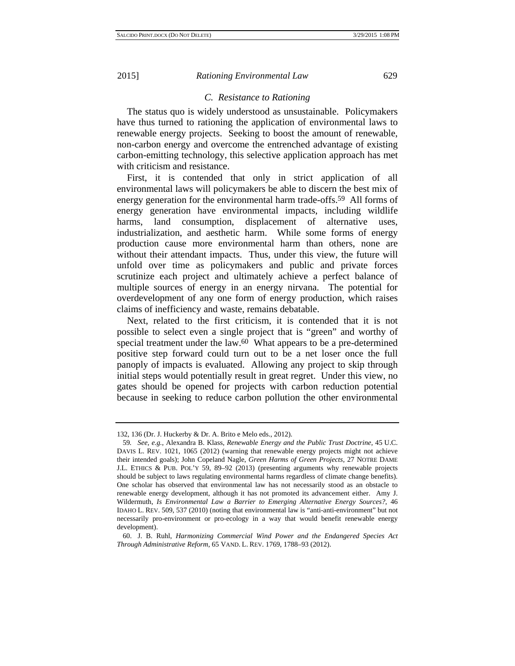# *C. Resistance to Rationing*

The status quo is widely understood as unsustainable. Policymakers have thus turned to rationing the application of environmental laws to renewable energy projects. Seeking to boost the amount of renewable, non-carbon energy and overcome the entrenched advantage of existing carbon-emitting technology, this selective application approach has met with criticism and resistance.

First, it is contended that only in strict application of all environmental laws will policymakers be able to discern the best mix of energy generation for the environmental harm trade-offs.59 All forms of energy generation have environmental impacts, including wildlife harms, land consumption, displacement of alternative uses, industrialization, and aesthetic harm. While some forms of energy production cause more environmental harm than others, none are without their attendant impacts. Thus, under this view, the future will unfold over time as policymakers and public and private forces scrutinize each project and ultimately achieve a perfect balance of multiple sources of energy in an energy nirvana. The potential for overdevelopment of any one form of energy production, which raises claims of inefficiency and waste, remains debatable.

Next, related to the first criticism, it is contended that it is not possible to select even a single project that is "green" and worthy of special treatment under the law.<sup>60</sup> What appears to be a pre-determined positive step forward could turn out to be a net loser once the full panoply of impacts is evaluated. Allowing any project to skip through initial steps would potentially result in great regret. Under this view, no gates should be opened for projects with carbon reduction potential because in seeking to reduce carbon pollution the other environmental

<sup>132, 136 (</sup>Dr. J. Huckerby & Dr. A. Brito e Melo eds., 2012).

<sup>59</sup>*. See, e.g.*, Alexandra B. Klass, *Renewable Energy and the Public Trust Doctrine*, 45 U.C. DAVIS L. REV. 1021, 1065 (2012) (warning that renewable energy projects might not achieve their intended goals); John Copeland Nagle, *Green Harms of Green Projects*, 27 NOTRE DAME J.L. ETHICS & PUB. POL'Y 59, 89–92 (2013) (presenting arguments why renewable projects should be subject to laws regulating environmental harms regardless of climate change benefits). One scholar has observed that environmental law has not necessarily stood as an obstacle to renewable energy development, although it has not promoted its advancement either. Amy J. Wildermuth, *Is Environmental Law a Barrier to Emerging Alternative Energy Sources?*, 46 IDAHO L. REV. 509, 537 (2010) (noting that environmental law is "anti-anti-environment" but not necessarily pro-environment or pro-ecology in a way that would benefit renewable energy development).

<sup>60.</sup> J. B. Ruhl, *Harmonizing Commercial Wind Power and the Endangered Species Act Through Administrative Reform*, 65 VAND. L. REV. 1769, 1788–93 (2012).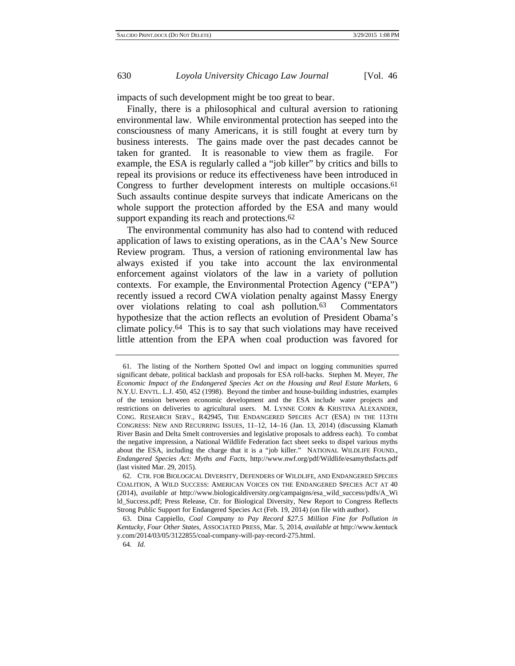impacts of such development might be too great to bear.

Finally, there is a philosophical and cultural aversion to rationing environmental law. While environmental protection has seeped into the consciousness of many Americans, it is still fought at every turn by business interests. The gains made over the past decades cannot be taken for granted. It is reasonable to view them as fragile. For example, the ESA is regularly called a "job killer" by critics and bills to repeal its provisions or reduce its effectiveness have been introduced in Congress to further development interests on multiple occasions.61 Such assaults continue despite surveys that indicate Americans on the whole support the protection afforded by the ESA and many would support expanding its reach and protections.<sup>62</sup>

The environmental community has also had to contend with reduced application of laws to existing operations, as in the CAA's New Source Review program. Thus, a version of rationing environmental law has always existed if you take into account the lax environmental enforcement against violators of the law in a variety of pollution contexts. For example, the Environmental Protection Agency ("EPA") recently issued a record CWA violation penalty against Massy Energy over violations relating to coal ash pollution.63 Commentators hypothesize that the action reflects an evolution of President Obama's climate policy.64 This is to say that such violations may have received little attention from the EPA when coal production was favored for

<sup>61.</sup> The listing of the Northern Spotted Owl and impact on logging communities spurred significant debate, political backlash and proposals for ESA roll-backs. Stephen M. Meyer, *The Economic Impact of the Endangered Species Act on the Housing and Real Estate Markets*, 6 N.Y.U. ENVTL. L.J. 450, 452 (1998). Beyond the timber and house-building industries, examples of the tension between economic development and the ESA include water projects and restrictions on deliveries to agricultural users. M. LYNNE CORN & KRISTINA ALEXANDER, CONG. RESEARCH SERV., R42945, THE ENDANGERED SPECIES ACT (ESA) IN THE 113TH CONGRESS: NEW AND RECURRING ISSUES, 11–12, 14–16 (Jan. 13, 2014) (discussing Klamath River Basin and Delta Smelt controversies and legislative proposals to address each). To combat the negative impression, a National Wildlife Federation fact sheet seeks to dispel various myths about the ESA, including the charge that it is a "job killer." NATIONAL WILDLIFE FOUND., *Endangered Species Act: Myths and Facts*, http://www.nwf.org/pdf/Wildlife/esamythsfacts.pdf (last visited Mar. 29, 2015).

<sup>62.</sup> CTR. FOR BIOLOGICAL DIVERSITY, DEFENDERS OF WILDLIFE, AND ENDANGERED SPECIES COALITION, A WILD SUCCESS: AMERICAN VOICES ON THE ENDANGERED SPECIES ACT AT 40 (2014), *available at* http://www.biologicaldiversity.org/campaigns/esa\_wild\_success/pdfs/A\_Wi ld\_Success.pdf; Press Release, Ctr. for Biological Diversity, New Report to Congress Reflects Strong Public Support for Endangered Species Act (Feb. 19, 2014) (on file with author).

<sup>63.</sup> Dina Cappiello, *Coal Company to Pay Record \$27.5 Million Fine for Pollution in Kentucky, Four Other States*, ASSOCIATED PRESS, Mar. 5, 2014, *available at* http://www.kentuck y.com/2014/03/05/3122855/coal-company-will-pay-record-275.html.

<sup>64</sup>*. Id.*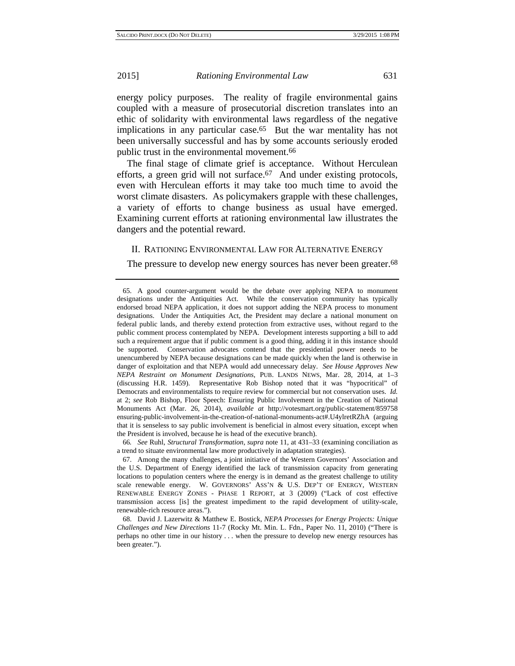energy policy purposes. The reality of fragile environmental gains coupled with a measure of prosecutorial discretion translates into an ethic of solidarity with environmental laws regardless of the negative implications in any particular case.65 But the war mentality has not been universally successful and has by some accounts seriously eroded public trust in the environmental movement.66

The final stage of climate grief is acceptance. Without Herculean efforts, a green grid will not surface.<sup>67</sup> And under existing protocols, even with Herculean efforts it may take too much time to avoid the worst climate disasters. As policymakers grapple with these challenges, a variety of efforts to change business as usual have emerged. Examining current efforts at rationing environmental law illustrates the dangers and the potential reward.

# II. RATIONING ENVIRONMENTAL LAW FOR ALTERNATIVE ENERGY

The pressure to develop new energy sources has never been greater.<sup>68</sup>

<sup>65.</sup> A good counter-argument would be the debate over applying NEPA to monument designations under the Antiquities Act. While the conservation community has typically endorsed broad NEPA application, it does not support adding the NEPA process to monument designations. Under the Antiquities Act, the President may declare a national monument on federal public lands, and thereby extend protection from extractive uses, without regard to the public comment process contemplated by NEPA. Development interests supporting a bill to add such a requirement argue that if public comment is a good thing, adding it in this instance should be supported. Conservation advocates contend that the presidential power needs to be unencumbered by NEPA because designations can be made quickly when the land is otherwise in danger of exploitation and that NEPA would add unnecessary delay. *See House Approves New NEPA Restraint on Monument Designations*, PUB. LANDS NEWS, Mar. 28, 2014, at 1–3 (discussing H.R. 1459). Representative Rob Bishop noted that it was "hypocritical" of Democrats and environmentalists to require review for commercial but not conservation uses. *Id.* at 2; *see* Rob Bishop, Floor Speech: Ensuring Public Involvement in the Creation of National Monuments Act (Mar. 26, 2014), *available at* http://votesmart.org/public-statement/859758 ensuring-public-involvement-in-the-creation-of-national-monuments-act#.U4ylretRZhA (arguing that it is senseless to say public involvement is beneficial in almost every situation, except when the President is involved, because he is head of the executive branch).

<sup>66</sup>*. See* Ruhl, *Structural Transformation*, *supra* note 11, at 431–33 (examining conciliation as a trend to situate environmental law more productively in adaptation strategies).

<sup>67.</sup> Among the many challenges, a joint initiative of the Western Governors' Association and the U.S. Department of Energy identified the lack of transmission capacity from generating locations to population centers where the energy is in demand as the greatest challenge to utility scale renewable energy. W. GOVERNORS' ASS'N & U.S. DEP'T OF ENERGY, WESTERN RENEWABLE ENERGY ZONES - PHASE 1 REPORT, at 3 (2009) ("Lack of cost effective transmission access [is] the greatest impediment to the rapid development of utility-scale, renewable-rich resource areas.").

<sup>68.</sup> David J. Lazerwitz & Matthew E. Bostick, *NEPA Processes for Energy Projects: Unique Challenges and New Directions* 11-7 (Rocky Mt. Min. L. Fdn., Paper No. 11, 2010) ("There is perhaps no other time in our history . . . when the pressure to develop new energy resources has been greater.").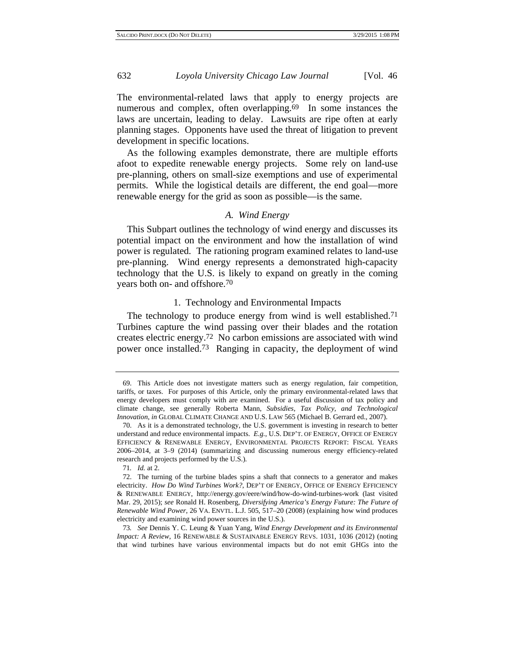The environmental-related laws that apply to energy projects are numerous and complex, often overlapping.<sup>69</sup> In some instances the laws are uncertain, leading to delay. Lawsuits are ripe often at early planning stages. Opponents have used the threat of litigation to prevent development in specific locations.

As the following examples demonstrate, there are multiple efforts afoot to expedite renewable energy projects. Some rely on land-use pre-planning, others on small-size exemptions and use of experimental permits. While the logistical details are different, the end goal—more renewable energy for the grid as soon as possible—is the same.

# *A. Wind Energy*

This Subpart outlines the technology of wind energy and discusses its potential impact on the environment and how the installation of wind power is regulated. The rationing program examined relates to land-use pre-planning. Wind energy represents a demonstrated high-capacity technology that the U.S. is likely to expand on greatly in the coming years both on- and offshore.70

#### 1. Technology and Environmental Impacts

The technology to produce energy from wind is well established.<sup>71</sup> Turbines capture the wind passing over their blades and the rotation creates electric energy.72 No carbon emissions are associated with wind power once installed.73 Ranging in capacity, the deployment of wind

<sup>69.</sup> This Article does not investigate matters such as energy regulation, fair competition, tariffs, or taxes. For purposes of this Article, only the primary environmental-related laws that energy developers must comply with are examined. For a useful discussion of tax policy and climate change, see generally Roberta Mann, *Subsidies, Tax Policy, and Technological Innovation*, *in* GLOBAL CLIMATE CHANGE AND U.S. LAW 565 (Michael B. Gerrard ed., 2007).

<sup>70.</sup> As it is a demonstrated technology, the U.S. government is investing in research to better understand and reduce environmental impacts. *E.g.*, U.S. DEP'T. OF ENERGY, OFFICE OF ENERGY EFFICIENCY & RENEWABLE ENERGY, ENVIRONMENTAL PROJECTS REPORT: FISCAL YEARS 2006–2014, at 3–9 (2014) (summarizing and discussing numerous energy efficiency-related research and projects performed by the U.S.).

<sup>71</sup>*. Id.* at 2.

<sup>72.</sup> The turning of the turbine blades spins a shaft that connects to a generator and makes electricity. *How Do Wind Turbines Work?*, DEP'T OF ENERGY, OFFICE OF ENERGY EFFICIENCY & RENEWABLE ENERGY, http://energy.gov/eere/wind/how-do-wind-turbines-work (last visited Mar. 29, 2015); *see* Ronald H. Rosenberg, *Diversifying America's Energy Future: The Future of Renewable Wind Power*, 26 VA. ENVTL. L.J. 505, 517–20 (2008) (explaining how wind produces electricity and examining wind power sources in the U.S.).

<sup>73</sup>*. See* Dennis Y. C. Leung & Yuan Yang, *Wind Energy Development and its Environmental Impact: A Review*, 16 RENEWABLE & SUSTAINABLE ENERGY REVS. 1031, 1036 (2012) (noting that wind turbines have various environmental impacts but do not emit GHGs into the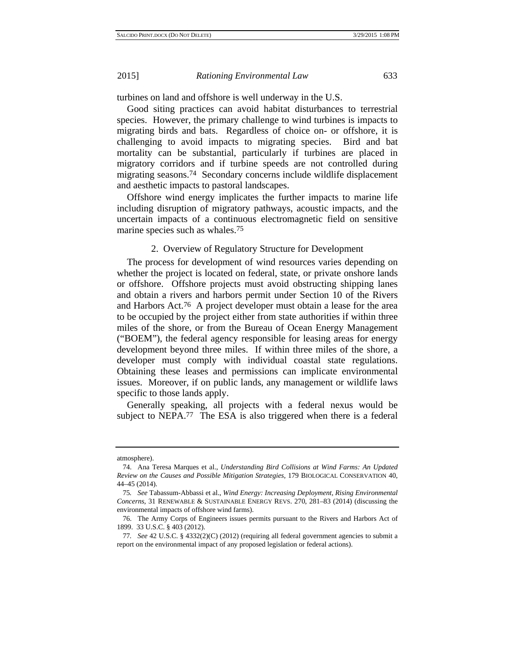turbines on land and offshore is well underway in the U.S.

Good siting practices can avoid habitat disturbances to terrestrial species. However, the primary challenge to wind turbines is impacts to migrating birds and bats. Regardless of choice on- or offshore, it is challenging to avoid impacts to migrating species. Bird and bat mortality can be substantial, particularly if turbines are placed in migratory corridors and if turbine speeds are not controlled during migrating seasons.74 Secondary concerns include wildlife displacement and aesthetic impacts to pastoral landscapes.

Offshore wind energy implicates the further impacts to marine life including disruption of migratory pathways, acoustic impacts, and the uncertain impacts of a continuous electromagnetic field on sensitive marine species such as whales.75

2. Overview of Regulatory Structure for Development

The process for development of wind resources varies depending on whether the project is located on federal, state, or private onshore lands or offshore. Offshore projects must avoid obstructing shipping lanes and obtain a rivers and harbors permit under Section 10 of the Rivers and Harbors Act.76 A project developer must obtain a lease for the area to be occupied by the project either from state authorities if within three miles of the shore, or from the Bureau of Ocean Energy Management ("BOEM"), the federal agency responsible for leasing areas for energy development beyond three miles. If within three miles of the shore, a developer must comply with individual coastal state regulations. Obtaining these leases and permissions can implicate environmental issues. Moreover, if on public lands, any management or wildlife laws specific to those lands apply.

Generally speaking, all projects with a federal nexus would be subject to NEPA.<sup>77</sup> The ESA is also triggered when there is a federal

atmosphere).

<sup>74.</sup> Ana Teresa Marques et al., *Understanding Bird Collisions at Wind Farms: An Updated Review on the Causes and Possible Mitigation Strategies*, 179 BIOLOGICAL CONSERVATION 40, 44–45 (2014).

<sup>75</sup>*. See* Tabassum-Abbassi et al., *Wind Energy: Increasing Deployment, Rising Environmental Concerns*, 31 RENEWABLE & SUSTAINABLE ENERGY REVS. 270, 281–83 (2014) (discussing the environmental impacts of offshore wind farms).

<sup>76.</sup> The Army Corps of Engineers issues permits pursuant to the Rivers and Harbors Act of 1899. 33 U.S.C. § 403 (2012).

<sup>77</sup>*. See* 42 U.S.C. § 4332(2)(C) (2012) (requiring all federal government agencies to submit a report on the environmental impact of any proposed legislation or federal actions).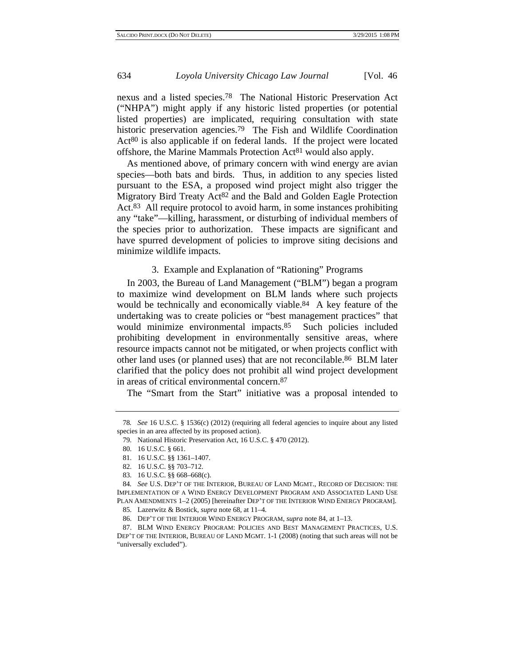nexus and a listed species.78 The National Historic Preservation Act ("NHPA") might apply if any historic listed properties (or potential listed properties) are implicated, requiring consultation with state historic preservation agencies.<sup>79</sup> The Fish and Wildlife Coordination Act80 is also applicable if on federal lands. If the project were located offshore, the Marine Mammals Protection Act81 would also apply.

As mentioned above, of primary concern with wind energy are avian species—both bats and birds. Thus, in addition to any species listed pursuant to the ESA, a proposed wind project might also trigger the Migratory Bird Treaty Act<sup>82</sup> and the Bald and Golden Eagle Protection Act.83 All require protocol to avoid harm, in some instances prohibiting any "take"—killing, harassment, or disturbing of individual members of the species prior to authorization. These impacts are significant and have spurred development of policies to improve siting decisions and minimize wildlife impacts.

3. Example and Explanation of "Rationing" Programs

In 2003, the Bureau of Land Management ("BLM") began a program to maximize wind development on BLM lands where such projects would be technically and economically viable.<sup>84</sup> A key feature of the undertaking was to create policies or "best management practices" that would minimize environmental impacts.<sup>85</sup> Such policies included prohibiting development in environmentally sensitive areas, where resource impacts cannot not be mitigated, or when projects conflict with other land uses (or planned uses) that are not reconcilable.86 BLM later clarified that the policy does not prohibit all wind project development in areas of critical environmental concern.87

The "Smart from the Start" initiative was a proposal intended to

83. 16 U.S.C. §§ 668–668(c).

84*. See* U.S. DEP'T OF THE INTERIOR, BUREAU OF LAND MGMT., RECORD OF DECISION: THE IMPLEMENTATION OF A WIND ENERGY DEVELOPMENT PROGRAM AND ASSOCIATED LAND USE PLAN AMENDMENTS 1–2 (2005) [hereinafter DEP'T OF THE INTERIOR WIND ENERGY PROGRAM].

85. Lazerwitz & Bostick, *supra* note 68, at 11–4.

<sup>78</sup>*. See* 16 U.S.C. § 1536(c) (2012) (requiring all federal agencies to inquire about any listed species in an area affected by its proposed action).

<sup>79.</sup> National Historic Preservation Act, 16 U.S.C. § 470 (2012).

<sup>80. 16</sup> U.S.C. § 661.

<sup>81. 16</sup> U.S.C. §§ 1361–1407.

<sup>82. 16</sup> U.S.C. §§ 703–712.

<sup>86.</sup> DEP'T OF THE INTERIOR WIND ENERGY PROGRAM, *supra* note 84, at 1–13.

<sup>87.</sup> BLM WIND ENERGY PROGRAM: POLICIES AND BEST MANAGEMENT PRACTICES, U.S. DEP'T OF THE INTERIOR, BUREAU OF LAND MGMT. 1-1 (2008) (noting that such areas will not be "universally excluded").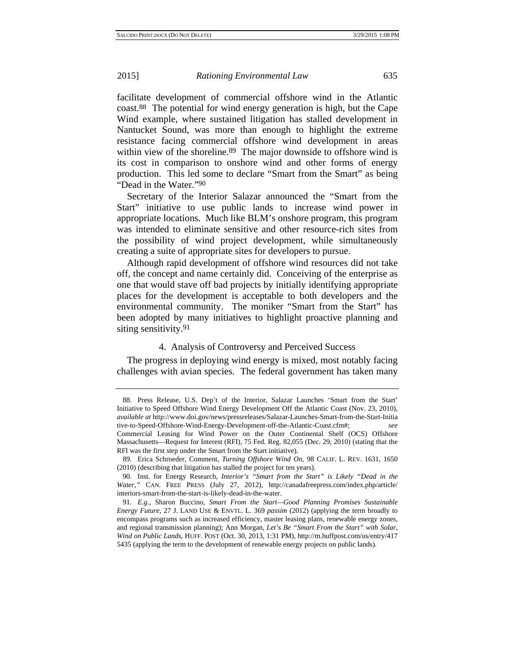facilitate development of commercial offshore wind in the Atlantic coast.88 The potential for wind energy generation is high, but the Cape Wind example, where sustained litigation has stalled development in Nantucket Sound, was more than enough to highlight the extreme resistance facing commercial offshore wind development in areas within view of the shoreline.<sup>89</sup> The major downside to offshore wind is its cost in comparison to onshore wind and other forms of energy production. This led some to declare "Smart from the Smart" as being "Dead in the Water."90

Secretary of the Interior Salazar announced the "Smart from the Start" initiative to use public lands to increase wind power in appropriate locations. Much like BLM's onshore program, this program was intended to eliminate sensitive and other resource-rich sites from the possibility of wind project development, while simultaneously creating a suite of appropriate sites for developers to pursue.

Although rapid development of offshore wind resources did not take off, the concept and name certainly did. Conceiving of the enterprise as one that would stave off bad projects by initially identifying appropriate places for the development is acceptable to both developers and the environmental community. The moniker "Smart from the Start" has been adopted by many initiatives to highlight proactive planning and siting sensitivity.91

#### 4. Analysis of Controversy and Perceived Success

The progress in deploying wind energy is mixed, most notably facing challenges with avian species. The federal government has taken many

<sup>88.</sup> Press Release, U.S. Dep't of the Interior, Salazar Launches 'Smart from the Start' Initiative to Speed Offshore Wind Energy Development Off the Atlantic Coast (Nov. 23, 2010), *available at* http://www.doi.gov/news/pressreleases/Salazar-Launches-Smart-from-the-Start-Initia tive-to-Speed-Offshore-Wind-Energy-Development-off-the-Atlantic-Coast.cfm#; *see* Commercial Leasing for Wind Power on the Outer Continental Shelf (OCS) Offshore Massachusetts—Request for Interest (RFI), 75 Fed. Reg. 82,055 (Dec. 29, 2010) (stating that the RFI was the first step under the Smart from the Start initiative).

<sup>89.</sup> Erica Schroeder, Comment, *Turning Offshore Wind On*, 98 CALIF. L. REV. 1631, 1650 (2010) (describing that litigation has stalled the project for ten years).

<sup>90.</sup> Inst. for Energy Research, *Interior's "Smart from the Start" is Likely "Dead in the Water*,*"* CAN. FREE PRESS (July 27, 2012), http://canadafreepress.com/index.php/article/ interiors-smart-from-the-start-is-likely-dead-in-the-water.

<sup>91</sup>*. E.g.*, Sharon Buccino, *Smart From the Start—Good Planning Promises Sustainable Energy Future*, 27 J. LAND USE & ENVTL. L. 369 *passim* (2012) (applying the term broadly to encompass programs such as increased efficiency, master leasing plans, renewable energy zones, and regional transmission planning); Ann Morgan, *Let's Be "Smart From the Start" with Solar, Wind on Public Lands*, HUFF. POST (Oct. 30, 2013, 1:31 PM), http://m.huffpost.com/us/entry/417 5435 (applying the term to the development of renewable energy projects on public lands).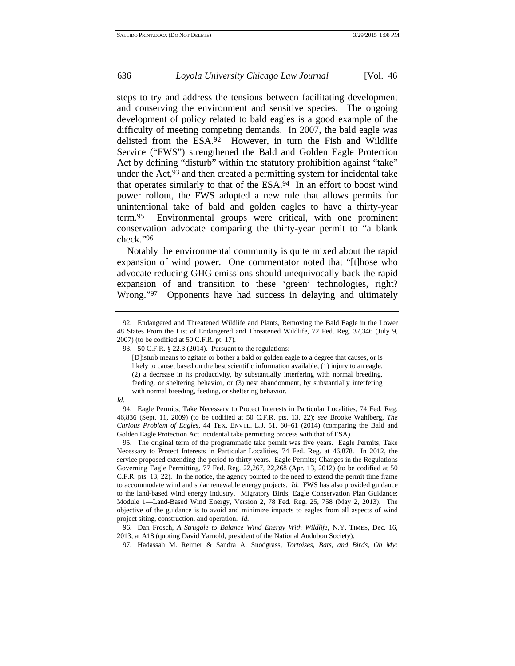steps to try and address the tensions between facilitating development and conserving the environment and sensitive species. The ongoing development of policy related to bald eagles is a good example of the difficulty of meeting competing demands. In 2007, the bald eagle was delisted from the ESA.92 However, in turn the Fish and Wildlife Service ("FWS") strengthened the Bald and Golden Eagle Protection Act by defining "disturb" within the statutory prohibition against "take" under the Act,<sup>93</sup> and then created a permitting system for incidental take that operates similarly to that of the ESA.94 In an effort to boost wind power rollout, the FWS adopted a new rule that allows permits for unintentional take of bald and golden eagles to have a thirty-year term.95 Environmental groups were critical, with one prominent conservation advocate comparing the thirty-year permit to "a blank check."96

Notably the environmental community is quite mixed about the rapid expansion of wind power. One commentator noted that "[t]hose who advocate reducing GHG emissions should unequivocally back the rapid expansion of and transition to these 'green' technologies, right? Wrong."97 Opponents have had success in delaying and ultimately

*Id.*

95. The original term of the programmatic take permit was five years. Eagle Permits; Take Necessary to Protect Interests in Particular Localities, 74 Fed. Reg. at 46,878. In 2012, the service proposed extending the period to thirty years. Eagle Permits; Changes in the Regulations Governing Eagle Permitting, 77 Fed. Reg. 22,267, 22,268 (Apr. 13, 2012) (to be codified at 50 C.F.R. pts. 13, 22). In the notice, the agency pointed to the need to extend the permit time frame to accommodate wind and solar renewable energy projects. *Id.* FWS has also provided guidance to the land-based wind energy industry. Migratory Birds, Eagle Conservation Plan Guidance: Module 1—Land-Based Wind Energy, Version 2, 78 Fed. Reg. 25, 758 (May 2, 2013). The objective of the guidance is to avoid and minimize impacts to eagles from all aspects of wind project siting, construction, and operation. *Id.*

96. Dan Frosch, *A Struggle to Balance Wind Energy With Wildlife*, N.Y. TIMES, Dec. 16, 2013, at A18 (quoting David Yarnold, president of the National Audubon Society).

<sup>92.</sup> Endangered and Threatened Wildlife and Plants, Removing the Bald Eagle in the Lower 48 States From the List of Endangered and Threatened Wildlife, 72 Fed. Reg. 37,346 (July 9, 2007) (to be codified at 50 C.F.R. pt. 17).

<sup>93. 50</sup> C.F.R. § 22.3 (2014). Pursuant to the regulations:

<sup>[</sup>D]isturb means to agitate or bother a bald or golden eagle to a degree that causes, or is likely to cause, based on the best scientific information available, (1) injury to an eagle, (2) a decrease in its productivity, by substantially interfering with normal breeding, feeding, or sheltering behavior, or (3) nest abandonment, by substantially interfering with normal breeding, feeding, or sheltering behavior.

<sup>94.</sup> Eagle Permits; Take Necessary to Protect Interests in Particular Localities, 74 Fed. Reg. 46,836 (Sept. 11, 2009) (to be codified at 50 C.F.R. pts. 13, 22); *see* Brooke Wahlberg, *The Curious Problem of Eagles*, 44 TEX. ENVTL. L.J. 51, 60–61 (2014) (comparing the Bald and Golden Eagle Protection Act incidental take permitting process with that of ESA).

<sup>97.</sup> Hadassah M. Reimer & Sandra A. Snodgrass, *Tortoises, Bats, and Birds, Oh My:*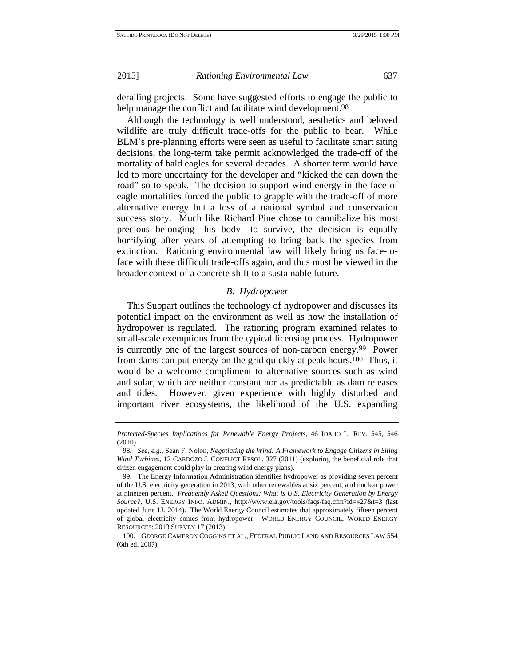derailing projects. Some have suggested efforts to engage the public to help manage the conflict and facilitate wind development.<sup>98</sup>

Although the technology is well understood, aesthetics and beloved wildlife are truly difficult trade-offs for the public to bear. While BLM's pre-planning efforts were seen as useful to facilitate smart siting decisions, the long-term take permit acknowledged the trade-off of the mortality of bald eagles for several decades. A shorter term would have led to more uncertainty for the developer and "kicked the can down the road" so to speak. The decision to support wind energy in the face of eagle mortalities forced the public to grapple with the trade-off of more alternative energy but a loss of a national symbol and conservation success story. Much like Richard Pine chose to cannibalize his most precious belonging—his body—to survive, the decision is equally horrifying after years of attempting to bring back the species from extinction. Rationing environmental law will likely bring us face-toface with these difficult trade-offs again, and thus must be viewed in the broader context of a concrete shift to a sustainable future.

#### *B. Hydropower*

This Subpart outlines the technology of hydropower and discusses its potential impact on the environment as well as how the installation of hydropower is regulated. The rationing program examined relates to small-scale exemptions from the typical licensing process. Hydropower is currently one of the largest sources of non-carbon energy.99 Power from dams can put energy on the grid quickly at peak hours.100 Thus, it would be a welcome compliment to alternative sources such as wind and solar, which are neither constant nor as predictable as dam releases and tides. However, given experience with highly disturbed and important river ecosystems, the likelihood of the U.S. expanding

*Protected-Species Implications for Renewable Energy Projects*, 46 IDAHO L. REV. 545, 546 (2010).

<sup>98</sup>*. See, e.g.*, Sean F. Nolon, *Negotiating the Wind: A Framework to Engage Citizens in Siting Wind Turbines*, 12 CARDOZO J. CONFLICT RESOL. 327 (2011) (exploring the beneficial role that citizen engagement could play in creating wind energy plans).

<sup>99.</sup> The Energy Information Administration identifies hydropower as providing seven percent of the U.S. electricity generation in 2013, with other renewables at six percent, and nuclear power at nineteen percent. *Frequently Asked Questions: What is U.S. Electricity Generation by Energy Source?*, U.S. ENERGY INFO. ADMIN., http://www.eia.gov/tools/faqs/faq.cfm?id=427&t=3 (last updated June 13, 2014). The World Energy Council estimates that approximately fifteen percent of global electricity comes from hydropower. WORLD ENERGY COUNCIL, WORLD ENERGY RESOURCES: 2013 SURVEY 17 (2013).

<sup>100.</sup> GEORGE CAMERON COGGINS ET AL., FEDERAL PUBLIC LAND AND RESOURCES LAW 554 (6th ed. 2007).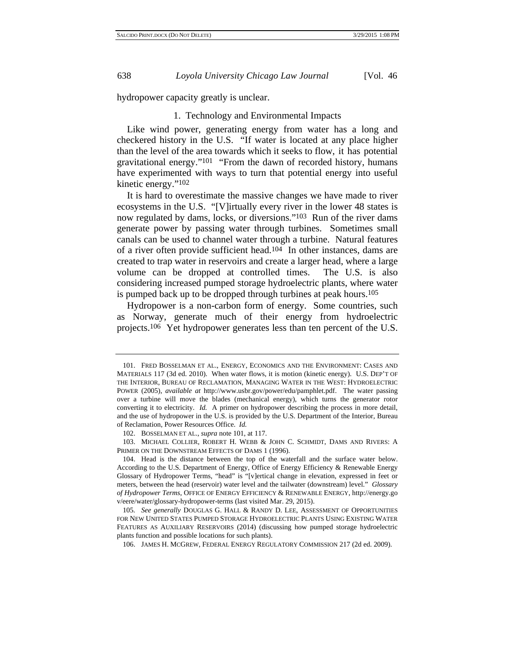hydropower capacity greatly is unclear.

#### 1. Technology and Environmental Impacts

Like wind power, generating energy from water has a long and checkered history in the U.S. "If water is located at any place higher than the level of the area towards which it seeks to flow, it has potential gravitational energy."101 "From the dawn of recorded history, humans have experimented with ways to turn that potential energy into useful kinetic energy."102

It is hard to overestimate the massive changes we have made to river ecosystems in the U.S. "[V]irtually every river in the lower 48 states is now regulated by dams, locks, or diversions."103 Run of the river dams generate power by passing water through turbines. Sometimes small canals can be used to channel water through a turbine. Natural features of a river often provide sufficient head.104 In other instances, dams are created to trap water in reservoirs and create a larger head, where a large volume can be dropped at controlled times. The U.S. is also considering increased pumped storage hydroelectric plants, where water is pumped back up to be dropped through turbines at peak hours.105

Hydropower is a non-carbon form of energy. Some countries, such as Norway, generate much of their energy from hydroelectric projects.106 Yet hydropower generates less than ten percent of the U.S.

<sup>101.</sup> FRED BOSSELMAN ET AL., ENERGY, ECONOMICS AND THE ENVIRONMENT: CASES AND MATERIALS 117 (3d ed. 2010). When water flows, it is motion (kinetic energy). U.S. DEP'T OF THE INTERIOR, BUREAU OF RECLAMATION, MANAGING WATER IN THE WEST: HYDROELECTRIC POWER (2005), *available at* http://www.usbr.gov/power/edu/pamphlet.pdf. The water passing over a turbine will move the blades (mechanical energy), which turns the generator rotor converting it to electricity. *Id.* A primer on hydropower describing the process in more detail, and the use of hydropower in the U.S. is provided by the U.S. Department of the Interior, Bureau of Reclamation, Power Resources Office. *Id.*

<sup>102.</sup> BOSSELMAN ET AL., *supra* note 101, at 117.

<sup>103.</sup> MICHAEL COLLIER, ROBERT H. WEBB & JOHN C. SCHMIDT, DAMS AND RIVERS: A PRIMER ON THE DOWNSTREAM EFFECTS OF DAMS 1 (1996).

<sup>104.</sup> Head is the distance between the top of the waterfall and the surface water below. According to the U.S. Department of Energy, Office of Energy Efficiency & Renewable Energy Glossary of Hydropower Terms, "head" is "[v]ertical change in elevation, expressed in feet or meters, between the head (reservoir) water level and the tailwater (downstream) level." *Glossary of Hydropower Terms*, OFFICE OF ENERGY EFFICIENCY & RENEWABLE ENERGY, http://energy.go v/eere/water/glossary-hydropower-terms (last visited Mar. 29, 2015).

<sup>105</sup>*. See generally* DOUGLAS G. HALL & RANDY D. LEE, ASSESSMENT OF OPPORTUNITIES FOR NEW UNITED STATES PUMPED STORAGE HYDROELECTRIC PLANTS USING EXISTING WATER FEATURES AS AUXILIARY RESERVOIRS (2014) (discussing how pumped storage hydroelectric plants function and possible locations for such plants).

<sup>106.</sup> JAMES H. MCGREW, FEDERAL ENERGY REGULATORY COMMISSION 217 (2d ed. 2009).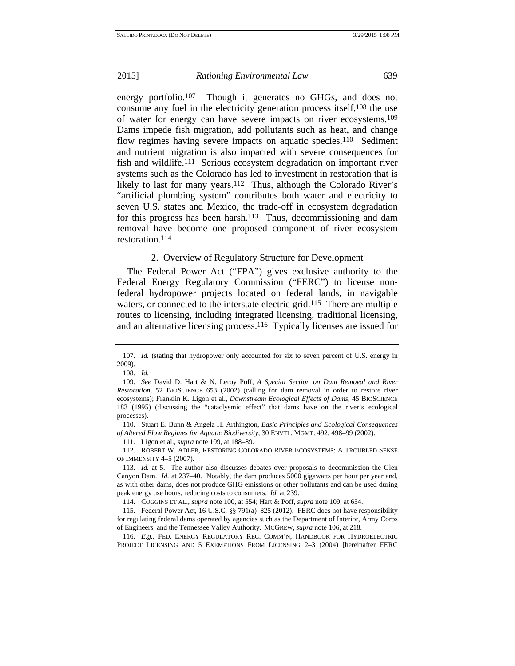energy portfolio.<sup>107</sup> Though it generates no GHGs, and does not consume any fuel in the electricity generation process itself,108 the use of water for energy can have severe impacts on river ecosystems.109 Dams impede fish migration, add pollutants such as heat, and change flow regimes having severe impacts on aquatic species.<sup>110</sup> Sediment and nutrient migration is also impacted with severe consequences for fish and wildlife.111 Serious ecosystem degradation on important river systems such as the Colorado has led to investment in restoration that is likely to last for many years.<sup>112</sup> Thus, although the Colorado River's "artificial plumbing system" contributes both water and electricity to seven U.S. states and Mexico, the trade-off in ecosystem degradation for this progress has been harsh.<sup>113</sup> Thus, decommissioning and dam removal have become one proposed component of river ecosystem restoration.114

2. Overview of Regulatory Structure for Development

The Federal Power Act ("FPA") gives exclusive authority to the Federal Energy Regulatory Commission ("FERC") to license nonfederal hydropower projects located on federal lands, in navigable waters, or connected to the interstate electric grid.115 There are multiple routes to licensing, including integrated licensing, traditional licensing, and an alternative licensing process.116 Typically licenses are issued for

<sup>107</sup>*. Id.* (stating that hydropower only accounted for six to seven percent of U.S. energy in 2009).

<sup>108</sup>*. Id.*

<sup>109</sup>*. See* David D. Hart & N. Leroy Poff, *A Special Section on Dam Removal and River Restoration*, 52 BIOSCIENCE 653 (2002) (calling for dam removal in order to restore river ecosystems); Franklin K. Ligon et al., *Downstream Ecological Effects of Dams*, 45 BIOSCIENCE 183 (1995) (discussing the "cataclysmic effect" that dams have on the river's ecological processes).

<sup>110.</sup> Stuart E. Bunn & Angela H. Arthington, *Basic Principles and Ecological Consequences of Altered Flow Regimes for Aquatic Biodiversity*, 30 ENVTL. MGMT. 492, 498–99 (2002).

<sup>111.</sup> Ligon et al., *supra* note 109, at 188–89.

<sup>112.</sup> ROBERT W. ADLER, RESTORING COLORADO RIVER ECOSYSTEMS: A TROUBLED SENSE OF IMMENSITY 4–5 (2007).

<sup>113</sup>*. Id.* at 5. The author also discusses debates over proposals to decommission the Glen Canyon Dam. *Id.* at 237–40. Notably, the dam produces 5000 gigawatts per hour per year and, as with other dams, does not produce GHG emissions or other pollutants and can be used during peak energy use hours, reducing costs to consumers. *Id.* at 239.

<sup>114.</sup> COGGINS ET AL., *supra* note 100, at 554; Hart & Poff, *supra* note 109, at 654.

<sup>115.</sup> Federal Power Act, 16 U.S.C. §§ 791(a)–825 (2012). FERC does not have responsibility for regulating federal dams operated by agencies such as the Department of Interior, Army Corps of Engineers, and the Tennessee Valley Authority. MCGREW, *supra* note 106, at 218.

<sup>116</sup>*. E.g.*, FED. ENERGY REGULATORY REG. COMM'N, HANDBOOK FOR HYDROELECTRIC PROJECT LICENSING AND 5 EXEMPTIONS FROM LICENSING 2–3 (2004) [hereinafter FERC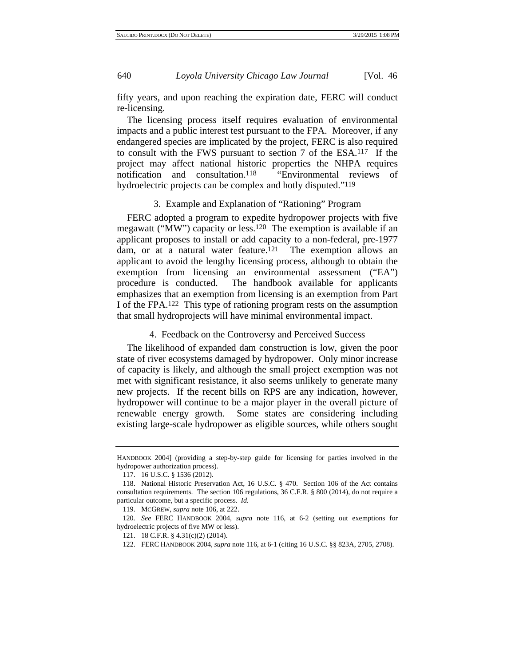fifty years, and upon reaching the expiration date, FERC will conduct re-licensing.

The licensing process itself requires evaluation of environmental impacts and a public interest test pursuant to the FPA. Moreover, if any endangered species are implicated by the project, FERC is also required to consult with the FWS pursuant to section 7 of the ESA.117 If the project may affect national historic properties the NHPA requires notification and consultation.118 "Environmental reviews of hydroelectric projects can be complex and hotly disputed."<sup>119</sup>

# 3. Example and Explanation of "Rationing" Program

FERC adopted a program to expedite hydropower projects with five megawatt ("MW") capacity or less.120 The exemption is available if an applicant proposes to install or add capacity to a non-federal, pre-1977 dam, or at a natural water feature.<sup>121</sup> The exemption allows an applicant to avoid the lengthy licensing process, although to obtain the exemption from licensing an environmental assessment ("EA") procedure is conducted. The handbook available for applicants emphasizes that an exemption from licensing is an exemption from Part I of the FPA.122 This type of rationing program rests on the assumption that small hydroprojects will have minimal environmental impact.

4. Feedback on the Controversy and Perceived Success

The likelihood of expanded dam construction is low, given the poor state of river ecosystems damaged by hydropower. Only minor increase of capacity is likely, and although the small project exemption was not met with significant resistance, it also seems unlikely to generate many new projects. If the recent bills on RPS are any indication, however, hydropower will continue to be a major player in the overall picture of renewable energy growth. Some states are considering including existing large-scale hydropower as eligible sources, while others sought

HANDBOOK 2004] (providing a step-by-step guide for licensing for parties involved in the hydropower authorization process).

<sup>117. 16</sup> U.S.C. § 1536 (2012).

<sup>118.</sup> National Historic Preservation Act, 16 U.S.C. § 470. Section 106 of the Act contains consultation requirements. The section 106 regulations, 36 C.F.R. § 800 (2014), do not require a particular outcome, but a specific process. *Id.* 

<sup>119.</sup> MCGREW, *supra* note 106, at 222.

<sup>120</sup>*. See* FERC HANDBOOK 2004, *supra* note 116, at 6-2 (setting out exemptions for hydroelectric projects of five MW or less).

<sup>121. 18</sup> C.F.R. § 4.31(c)(2) (2014).

<sup>122.</sup> FERC HANDBOOK 2004, *supra* note 116, at 6-1 (citing 16 U.S.C. §§ 823A, 2705, 2708).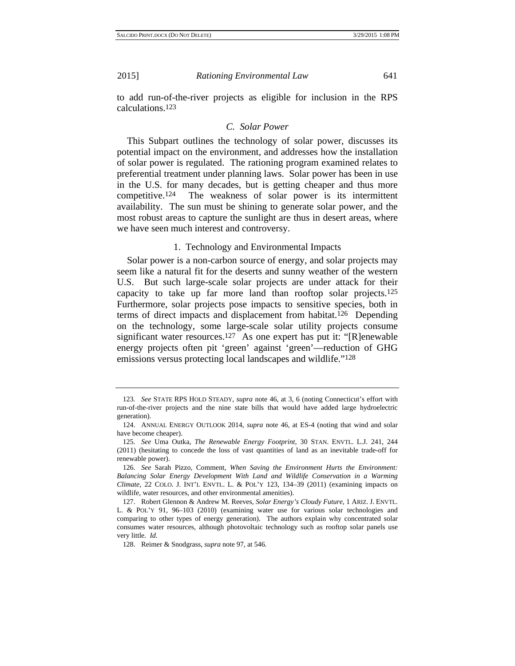to add run-of-the-river projects as eligible for inclusion in the RPS calculations.123

#### *C. Solar Power*

This Subpart outlines the technology of solar power, discusses its potential impact on the environment, and addresses how the installation of solar power is regulated. The rationing program examined relates to preferential treatment under planning laws. Solar power has been in use in the U.S. for many decades, but is getting cheaper and thus more competitive.124 The weakness of solar power is its intermittent availability. The sun must be shining to generate solar power, and the most robust areas to capture the sunlight are thus in desert areas, where we have seen much interest and controversy.

1. Technology and Environmental Impacts

Solar power is a non-carbon source of energy, and solar projects may seem like a natural fit for the deserts and sunny weather of the western U.S. But such large-scale solar projects are under attack for their capacity to take up far more land than rooftop solar projects.125 Furthermore, solar projects pose impacts to sensitive species, both in terms of direct impacts and displacement from habitat.126 Depending on the technology, some large-scale solar utility projects consume significant water resources.<sup>127</sup> As one expert has put it: "[R]enewable energy projects often pit 'green' against 'green'—reduction of GHG emissions versus protecting local landscapes and wildlife."128

<sup>123</sup>*. See* STATE RPS HOLD STEADY, *supra* note 46, at 3, 6 (noting Connecticut's effort with run-of-the-river projects and the nine state bills that would have added large hydroelectric generation).

<sup>124.</sup> ANNUAL ENERGY OUTLOOK 2014, *supra* note 46, at ES-4 (noting that wind and solar have become cheaper).

<sup>125</sup>*. See* Uma Outka, *The Renewable Energy Footprint*, 30 STAN. ENVTL. L.J. 241, 244 (2011) (hesitating to concede the loss of vast quantities of land as an inevitable trade-off for renewable power).

<sup>126</sup>*. See* Sarah Pizzo, Comment, *When Saving the Environment Hurts the Environment: Balancing Solar Energy Development With Land and Wildlife Conservation in a Warming Climate*, 22 COLO. J. INT'L ENVTL. L. & POL'Y 123, 134–39 (2011) (examining impacts on wildlife, water resources, and other environmental amenities).

<sup>127.</sup> Robert Glennon & Andrew M. Reeves, *Solar Energy's Cloudy Future*, 1 ARIZ. J. ENVTL. L. & POL'Y 91, 96–103 (2010) (examining water use for various solar technologies and comparing to other types of energy generation). The authors explain why concentrated solar consumes water resources, although photovoltaic technology such as rooftop solar panels use very little. *Id.*

<sup>128.</sup> Reimer & Snodgrass, *supra* note 97, at 546.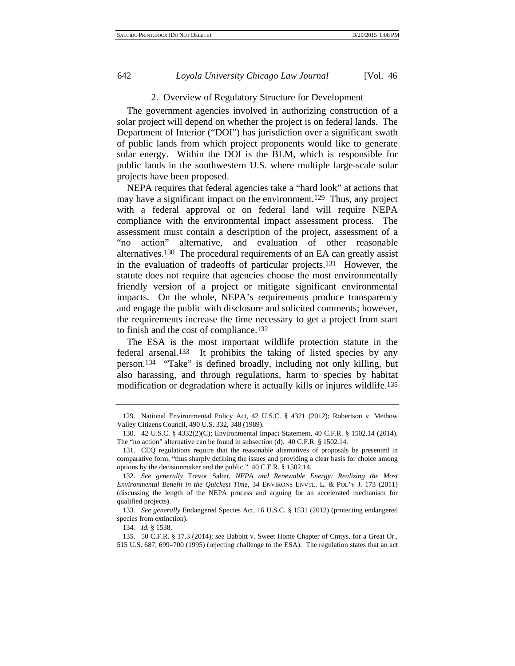#### 2. Overview of Regulatory Structure for Development

The government agencies involved in authorizing construction of a solar project will depend on whether the project is on federal lands. The Department of Interior ("DOI") has jurisdiction over a significant swath of public lands from which project proponents would like to generate solar energy. Within the DOI is the BLM, which is responsible for public lands in the southwestern U.S. where multiple large-scale solar projects have been proposed.

NEPA requires that federal agencies take a "hard look" at actions that may have a significant impact on the environment.129 Thus, any project with a federal approval or on federal land will require NEPA compliance with the environmental impact assessment process. The assessment must contain a description of the project, assessment of a "no action" alternative, and evaluation of other reasonable alternatives.130 The procedural requirements of an EA can greatly assist in the evaluation of tradeoffs of particular projects.131 However, the statute does not require that agencies choose the most environmentally friendly version of a project or mitigate significant environmental impacts. On the whole, NEPA's requirements produce transparency and engage the public with disclosure and solicited comments; however, the requirements increase the time necessary to get a project from start to finish and the cost of compliance.132

The ESA is the most important wildlife protection statute in the federal arsenal.133 It prohibits the taking of listed species by any person.134 "Take" is defined broadly, including not only killing, but also harassing, and through regulations, harm to species by habitat modification or degradation where it actually kills or injures wildlife.135

<sup>129.</sup> National Environmental Policy Act, 42 U.S.C. § 4321 (2012); Robertson v. Methow Valley Citizens Council, 490 U.S. 332, 348 (1989).

<sup>130. 42</sup> U.S.C. § 4332(2)(C); Environmental Impact Statement, 40 C.F.R. § 1502.14 (2014). The "no action" alternative can be found in subsection (d). 40 C.F.R. § 1502.14.

<sup>131.</sup> CEQ regulations require that the reasonable alternatives of proposals be presented in comparative form, "thus sharply defining the issues and providing a clear basis for choice among options by the decisionmaker and the public." 40 C.F.R. § 1502.14.

<sup>132</sup>*. See generally* Trevor Salter, *NEPA and Renewable Energy: Realizing the Most Environmental Benefit in the Quickest Time*, 34 ENVIRONS ENVTL. L. & POL'Y J. 173 (2011) (discussing the length of the NEPA process and arguing for an accelerated mechanism for qualified projects).

<sup>133</sup>*. See generally* Endangered Species Act, 16 U.S.C. § 1531 (2012) (protecting endangered species from extinction).

<sup>134</sup>*. Id.* § 1538.

<sup>135. 50</sup> C.F.R. § 17.3 (2014); *see* Babbitt v. Sweet Home Chapter of Cmtys. for a Great Or., 515 U.S. 687, 699–700 (1995) (rejecting challenge to the ESA). The regulation states that an act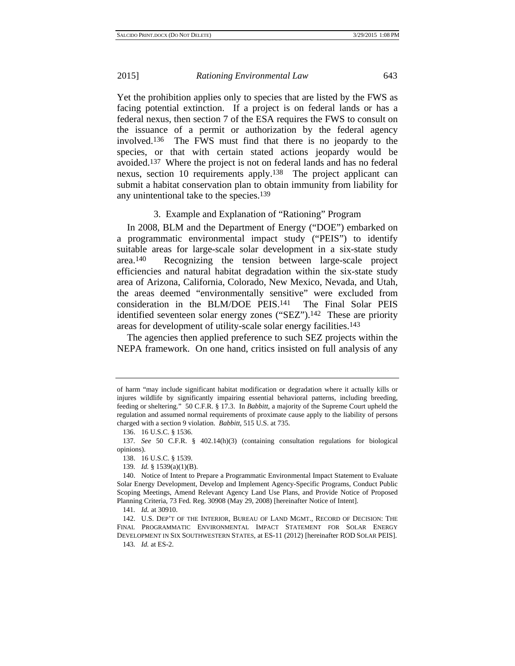Yet the prohibition applies only to species that are listed by the FWS as facing potential extinction. If a project is on federal lands or has a federal nexus, then section 7 of the ESA requires the FWS to consult on the issuance of a permit or authorization by the federal agency involved.136 The FWS must find that there is no jeopardy to the species, or that with certain stated actions jeopardy would be avoided.137 Where the project is not on federal lands and has no federal nexus, section 10 requirements apply.138 The project applicant can submit a habitat conservation plan to obtain immunity from liability for any unintentional take to the species.139

# 3. Example and Explanation of "Rationing" Program

In 2008, BLM and the Department of Energy ("DOE") embarked on a programmatic environmental impact study ("PEIS") to identify suitable areas for large-scale solar development in a six-state study area.140 Recognizing the tension between large-scale project efficiencies and natural habitat degradation within the six-state study area of Arizona, California, Colorado, New Mexico, Nevada, and Utah, the areas deemed "environmentally sensitive" were excluded from consideration in the BLM/DOE PEIS.141 The Final Solar PEIS identified seventeen solar energy zones ("SEZ").142 These are priority areas for development of utility-scale solar energy facilities.143

The agencies then applied preference to such SEZ projects within the NEPA framework. On one hand, critics insisted on full analysis of any

of harm "may include significant habitat modification or degradation where it actually kills or injures wildlife by significantly impairing essential behavioral patterns, including breeding, feeding or sheltering." 50 C.F.R. § 17.3. In *Babbitt*, a majority of the Supreme Court upheld the regulation and assumed normal requirements of proximate cause apply to the liability of persons charged with a section 9 violation. *Babbitt*, 515 U.S. at 735.

<sup>136. 16</sup> U.S.C. § 1536.

<sup>137</sup>*. See* 50 C.F.R. § 402.14(h)(3) (containing consultation regulations for biological opinions).

<sup>138. 16</sup> U.S.C. § 1539.

<sup>139</sup>*. Id.* § 1539(a)(1)(B).

<sup>140.</sup> Notice of Intent to Prepare a Programmatic Environmental Impact Statement to Evaluate Solar Energy Development, Develop and Implement Agency-Specific Programs, Conduct Public Scoping Meetings, Amend Relevant Agency Land Use Plans, and Provide Notice of Proposed Planning Criteria, 73 Fed. Reg. 30908 (May 29, 2008) [hereinafter Notice of Intent].

<sup>141</sup>*. Id.* at 30910.

<sup>142.</sup> U.S. DEP'T OF THE INTERIOR, BUREAU OF LAND MGMT., RECORD OF DECISION: THE FINAL PROGRAMMATIC ENVIRONMENTAL IMPACT STATEMENT FOR SOLAR ENERGY DEVELOPMENT IN SIX SOUTHWESTERN STATES, at ES-11 (2012) [hereinafter ROD SOLAR PEIS].

<sup>143</sup>*. Id.* at ES-2.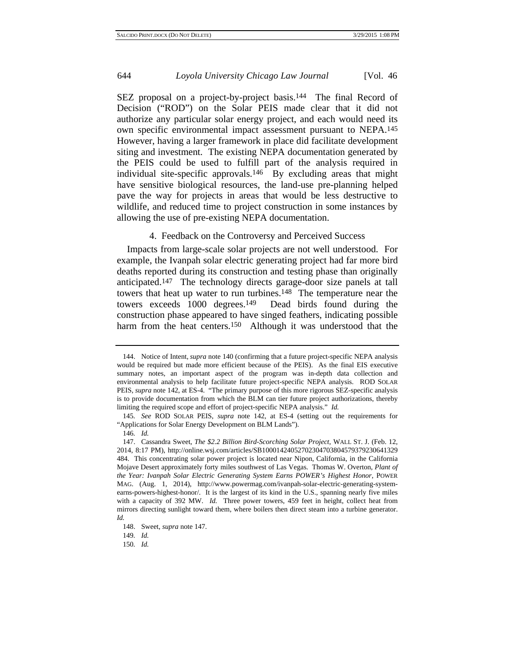SEZ proposal on a project-by-project basis.<sup>144</sup> The final Record of Decision ("ROD") on the Solar PEIS made clear that it did not authorize any particular solar energy project, and each would need its own specific environmental impact assessment pursuant to NEPA.145 However, having a larger framework in place did facilitate development siting and investment. The existing NEPA documentation generated by the PEIS could be used to fulfill part of the analysis required in individual site-specific approvals.146 By excluding areas that might have sensitive biological resources, the land-use pre-planning helped pave the way for projects in areas that would be less destructive to wildlife, and reduced time to project construction in some instances by allowing the use of pre-existing NEPA documentation.

#### 4. Feedback on the Controversy and Perceived Success

Impacts from large-scale solar projects are not well understood. For example, the Ivanpah solar electric generating project had far more bird deaths reported during its construction and testing phase than originally anticipated.147 The technology directs garage-door size panels at tall towers that heat up water to run turbines.<sup>148</sup> The temperature near the towers exceeds 1000 degrees.149 Dead birds found during the construction phase appeared to have singed feathers, indicating possible harm from the heat centers.<sup>150</sup> Although it was understood that the

<sup>144.</sup> Notice of Intent, *supra* note 140 (confirming that a future project-specific NEPA analysis would be required but made more efficient because of the PEIS). As the final EIS executive summary notes, an important aspect of the program was in-depth data collection and environmental analysis to help facilitate future project-specific NEPA analysis. ROD SOLAR PEIS, *supra* note 142, at ES-4. "The primary purpose of this more rigorous SEZ-specific analysis is to provide documentation from which the BLM can tier future project authorizations, thereby limiting the required scope and effort of project-specific NEPA analysis." *Id.*

<sup>145</sup>*. See* ROD SOLAR PEIS, *supra* note 142, at ES-4 (setting out the requirements for "Applications for Solar Energy Development on BLM Lands").

<sup>146</sup>*. Id.*

<sup>147.</sup> Cassandra Sweet, *The \$2.2 Billion Bird-Scorching Solar Project*, WALL ST. J. (Feb. 12, 2014, 8:17 PM), http://online.wsj.com/articles/SB10001424052702304703804579379230641329 484. This concentrating solar power project is located near Nipon, California, in the California Mojave Desert approximately forty miles southwest of Las Vegas. Thomas W. Overton, *Plant of the Year: Ivanpah Solar Electric Generating System Earns POWER's Highest Honor*, POWER MAG. (Aug. 1, 2014), http://www.powermag.com/ivanpah-solar-electric-generating-systemearns-powers-highest-honor/. It is the largest of its kind in the U.S., spanning nearly five miles with a capacity of 392 MW. *Id.* Three power towers, 459 feet in height, collect heat from mirrors directing sunlight toward them, where boilers then direct steam into a turbine generator. *Id.*

<sup>148.</sup> Sweet, *supra* note 147.

<sup>149</sup>*. Id.*

<sup>150</sup>*. Id.*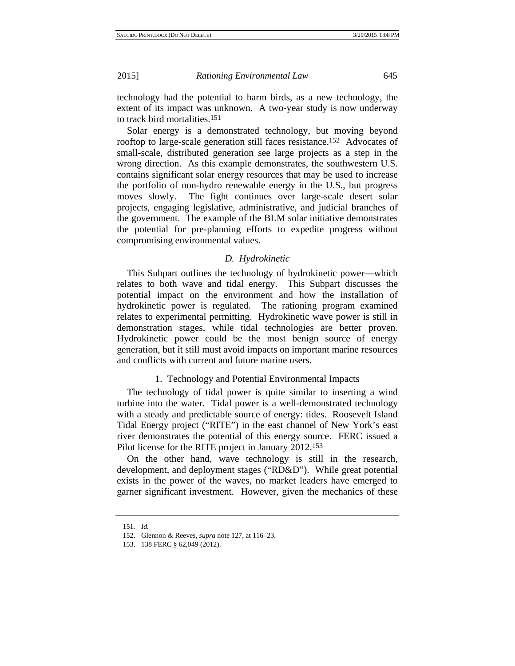technology had the potential to harm birds, as a new technology, the extent of its impact was unknown. A two-year study is now underway to track bird mortalities.151

Solar energy is a demonstrated technology, but moving beyond rooftop to large-scale generation still faces resistance.152 Advocates of small-scale, distributed generation see large projects as a step in the wrong direction. As this example demonstrates, the southwestern U.S. contains significant solar energy resources that may be used to increase the portfolio of non-hydro renewable energy in the U.S., but progress moves slowly. The fight continues over large-scale desert solar projects, engaging legislative, administrative, and judicial branches of the government. The example of the BLM solar initiative demonstrates the potential for pre-planning efforts to expedite progress without compromising environmental values.

# *D. Hydrokinetic*

This Subpart outlines the technology of hydrokinetic power—which relates to both wave and tidal energy. This Subpart discusses the potential impact on the environment and how the installation of hydrokinetic power is regulated. The rationing program examined relates to experimental permitting. Hydrokinetic wave power is still in demonstration stages, while tidal technologies are better proven. Hydrokinetic power could be the most benign source of energy generation, but it still must avoid impacts on important marine resources and conflicts with current and future marine users.

# 1. Technology and Potential Environmental Impacts

The technology of tidal power is quite similar to inserting a wind turbine into the water. Tidal power is a well-demonstrated technology with a steady and predictable source of energy: tides. Roosevelt Island Tidal Energy project ("RITE") in the east channel of New York's east river demonstrates the potential of this energy source. FERC issued a Pilot license for the RITE project in January 2012.153

On the other hand, wave technology is still in the research, development, and deployment stages ("RD&D"). While great potential exists in the power of the waves, no market leaders have emerged to garner significant investment. However, given the mechanics of these

<sup>151</sup>*. Id.*

<sup>152.</sup> Glennon & Reeves, *supra* note 127, at 116–23.

<sup>153. 138</sup> FERC § 62,049 (2012).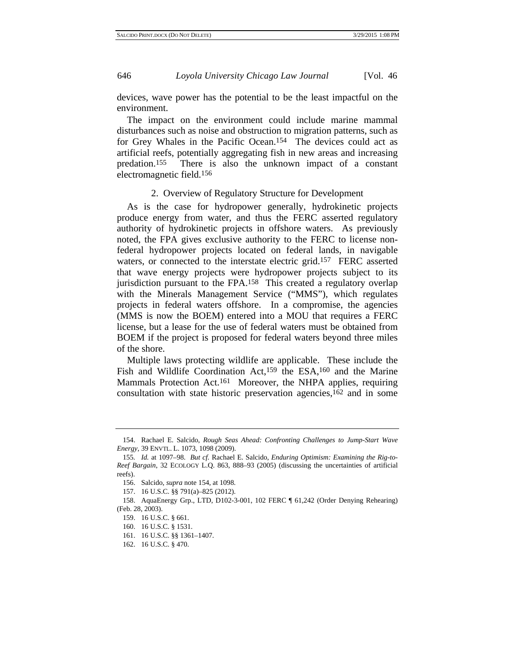devices, wave power has the potential to be the least impactful on the environment.

The impact on the environment could include marine mammal disturbances such as noise and obstruction to migration patterns, such as for Grey Whales in the Pacific Ocean.154 The devices could act as artificial reefs, potentially aggregating fish in new areas and increasing predation.155 There is also the unknown impact of a constant electromagnetic field.156

# 2. Overview of Regulatory Structure for Development

As is the case for hydropower generally, hydrokinetic projects produce energy from water, and thus the FERC asserted regulatory authority of hydrokinetic projects in offshore waters. As previously noted, the FPA gives exclusive authority to the FERC to license nonfederal hydropower projects located on federal lands, in navigable waters, or connected to the interstate electric grid.<sup>157</sup> FERC asserted that wave energy projects were hydropower projects subject to its jurisdiction pursuant to the FPA.158 This created a regulatory overlap with the Minerals Management Service ("MMS"), which regulates projects in federal waters offshore. In a compromise, the agencies (MMS is now the BOEM) entered into a MOU that requires a FERC license, but a lease for the use of federal waters must be obtained from BOEM if the project is proposed for federal waters beyond three miles of the shore.

Multiple laws protecting wildlife are applicable. These include the Fish and Wildlife Coordination Act,159 the ESA,160 and the Marine Mammals Protection Act.161 Moreover, the NHPA applies, requiring consultation with state historic preservation agencies,162 and in some

- 159. 16 U.S.C. § 661.
- 160. 16 U.S.C. § 1531.
- 161. 16 U.S.C. §§ 1361–1407.
- 162. 16 U.S.C. § 470.

<sup>154.</sup> Rachael E. Salcido, *Rough Seas Ahead: Confronting Challenges to Jump-Start Wave Energy*, 39 ENVTL. L. 1073, 1098 (2009).

<sup>155</sup>*. Id.* at 1097–98. *But cf.* Rachael E. Salcido, *Enduring Optimism: Examining the Rig-to-Reef Bargain*, 32 ECOLOGY L.Q. 863, 888–93 (2005) (discussing the uncertainties of artificial reefs).

<sup>156.</sup> Salcido, *supra* note 154, at 1098.

<sup>157. 16</sup> U.S.C. §§ 791(a)–825 (2012).

<sup>158.</sup> AquaEnergy Grp., LTD, D102-3-001, 102 FERC ¶ 61,242 (Order Denying Rehearing) (Feb. 28, 2003).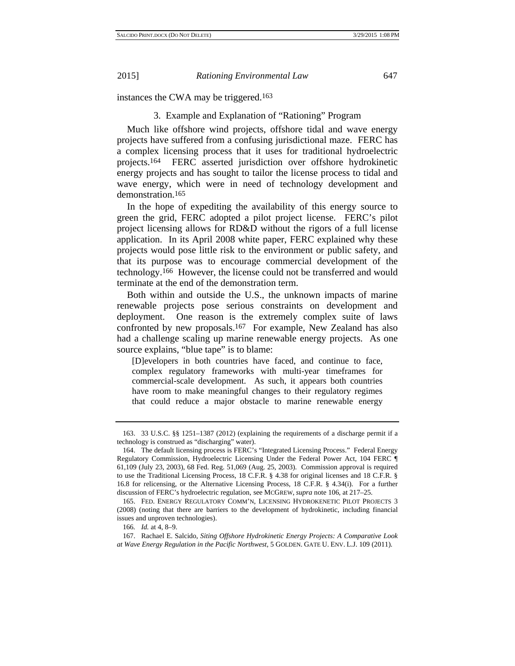instances the CWA may be triggered.163

#### 3. Example and Explanation of "Rationing" Program

Much like offshore wind projects, offshore tidal and wave energy projects have suffered from a confusing jurisdictional maze. FERC has a complex licensing process that it uses for traditional hydroelectric projects.164 FERC asserted jurisdiction over offshore hydrokinetic energy projects and has sought to tailor the license process to tidal and wave energy, which were in need of technology development and demonstration.165

In the hope of expediting the availability of this energy source to green the grid, FERC adopted a pilot project license. FERC's pilot project licensing allows for RD&D without the rigors of a full license application. In its April 2008 white paper, FERC explained why these projects would pose little risk to the environment or public safety, and that its purpose was to encourage commercial development of the technology.166 However, the license could not be transferred and would terminate at the end of the demonstration term.

Both within and outside the U.S., the unknown impacts of marine renewable projects pose serious constraints on development and deployment. One reason is the extremely complex suite of laws confronted by new proposals.167 For example, New Zealand has also had a challenge scaling up marine renewable energy projects. As one source explains, "blue tape" is to blame:

[D]evelopers in both countries have faced, and continue to face, complex regulatory frameworks with multi-year timeframes for commercial-scale development. As such, it appears both countries have room to make meaningful changes to their regulatory regimes that could reduce a major obstacle to marine renewable energy

<sup>163. 33</sup> U.S.C. §§ 1251–1387 (2012) (explaining the requirements of a discharge permit if a technology is construed as "discharging" water).

<sup>164.</sup> The default licensing process is FERC's "Integrated Licensing Process." Federal Energy Regulatory Commission, Hydroelectric Licensing Under the Federal Power Act, 104 FERC ¶ 61,109 (July 23, 2003), 68 Fed. Reg. 51,069 (Aug. 25, 2003). Commission approval is required to use the Traditional Licensing Process, 18 C.F.R. § 4.38 for original licenses and 18 C.F.R. § 16.8 for relicensing, or the Alternative Licensing Process, 18 C.F.R. § 4.34(i). For a further discussion of FERC's hydroelectric regulation, see MCGREW, *supra* note 106, at 217–25.

<sup>165.</sup> FED. ENERGY REGULATORY COMM'N, LICENSING HYDROKENETIC PILOT PROJECTS 3 (2008) (noting that there are barriers to the development of hydrokinetic, including financial issues and unproven technologies).

<sup>166</sup>*. Id.* at 4, 8–9.

<sup>167.</sup> Rachael E. Salcido, *Siting Offshore Hydrokinetic Energy Projects: A Comparative Look at Wave Energy Regulation in the Pacific Northwest*, 5 GOLDEN. GATE U. ENV. L.J. 109 (2011).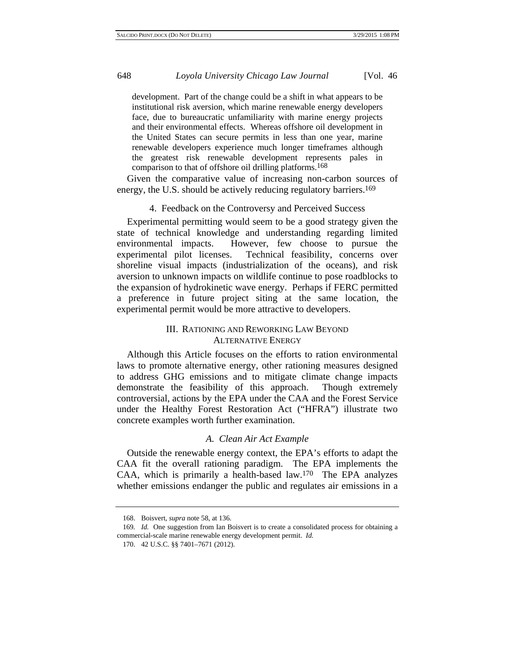development. Part of the change could be a shift in what appears to be institutional risk aversion, which marine renewable energy developers face, due to bureaucratic unfamiliarity with marine energy projects and their environmental effects. Whereas offshore oil development in the United States can secure permits in less than one year, marine renewable developers experience much longer timeframes although the greatest risk renewable development represents pales in comparison to that of offshore oil drilling platforms.168

Given the comparative value of increasing non-carbon sources of energy, the U.S. should be actively reducing regulatory barriers.169

#### 4. Feedback on the Controversy and Perceived Success

Experimental permitting would seem to be a good strategy given the state of technical knowledge and understanding regarding limited environmental impacts. However, few choose to pursue the experimental pilot licenses. Technical feasibility, concerns over shoreline visual impacts (industrialization of the oceans), and risk aversion to unknown impacts on wildlife continue to pose roadblocks to the expansion of hydrokinetic wave energy. Perhaps if FERC permitted a preference in future project siting at the same location, the experimental permit would be more attractive to developers.

# III. RATIONING AND REWORKING LAW BEYOND ALTERNATIVE ENERGY

Although this Article focuses on the efforts to ration environmental laws to promote alternative energy, other rationing measures designed to address GHG emissions and to mitigate climate change impacts demonstrate the feasibility of this approach. Though extremely controversial, actions by the EPA under the CAA and the Forest Service under the Healthy Forest Restoration Act ("HFRA") illustrate two concrete examples worth further examination.

#### *A. Clean Air Act Example*

Outside the renewable energy context, the EPA's efforts to adapt the CAA fit the overall rationing paradigm. The EPA implements the CAA, which is primarily a health-based law.170 The EPA analyzes whether emissions endanger the public and regulates air emissions in a

<sup>168.</sup> Boisvert, *supra* note 58, at 136.

<sup>169.</sup> *Id.* One suggestion from Ian Boisvert is to create a consolidated process for obtaining a commercial-scale marine renewable energy development permit. *Id.*

<sup>170. 42</sup> U.S.C. §§ 7401–7671 (2012).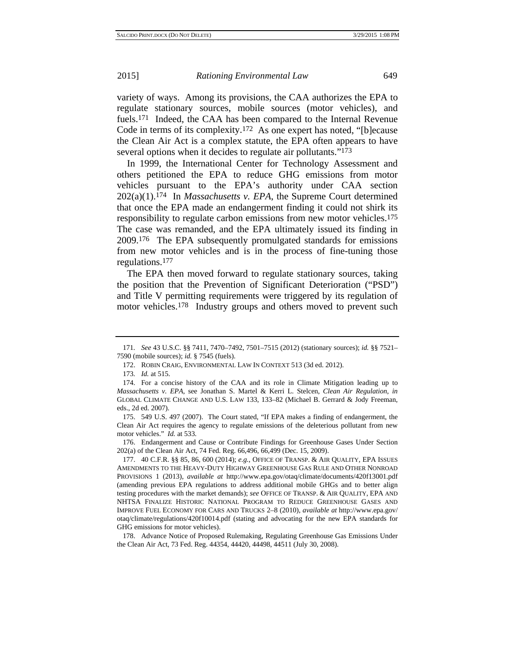variety of ways. Among its provisions, the CAA authorizes the EPA to regulate stationary sources, mobile sources (motor vehicles), and fuels.171 Indeed, the CAA has been compared to the Internal Revenue Code in terms of its complexity.172 As one expert has noted, "[b]ecause the Clean Air Act is a complex statute, the EPA often appears to have several options when it decides to regulate air pollutants."173

In 1999, the International Center for Technology Assessment and others petitioned the EPA to reduce GHG emissions from motor vehicles pursuant to the EPA's authority under CAA section 202(a)(1).174 In *Massachusetts v. EPA*, the Supreme Court determined that once the EPA made an endangerment finding it could not shirk its responsibility to regulate carbon emissions from new motor vehicles.175 The case was remanded, and the EPA ultimately issued its finding in 2009.176 The EPA subsequently promulgated standards for emissions from new motor vehicles and is in the process of fine-tuning those regulations.177

The EPA then moved forward to regulate stationary sources, taking the position that the Prevention of Significant Deterioration ("PSD") and Title V permitting requirements were triggered by its regulation of motor vehicles.178 Industry groups and others moved to prevent such

<sup>171</sup>*. See* 43 U.S.C. §§ 7411, 7470–7492, 7501–7515 (2012) (stationary sources); *id.* §§ 7521– 7590 (mobile sources); *id.* § 7545 (fuels).

<sup>172.</sup> ROBIN CRAIG, ENVIRONMENTAL LAW IN CONTEXT 513 (3d ed. 2012).

<sup>173</sup>*. Id.* at 515.

<sup>174.</sup> For a concise history of the CAA and its role in Climate Mitigation leading up to *Massachusetts v. EPA*, see Jonathan S. Martel & Kerri L. Stelcen, *Clean Air Regulation*, *in* GLOBAL CLIMATE CHANGE AND U.S. LAW 133, 133–82 (Michael B. Gerrard & Jody Freeman, eds., 2d ed. 2007).

<sup>175. 549</sup> U.S. 497 (2007). The Court stated, "If EPA makes a finding of endangerment, the Clean Air Act requires the agency to regulate emissions of the deleterious pollutant from new motor vehicles." *Id.* at 533.

<sup>176.</sup> Endangerment and Cause or Contribute Findings for Greenhouse Gases Under Section 202(a) of the Clean Air Act, 74 Fed. Reg. 66,496, 66,499 (Dec. 15, 2009).

<sup>177. 40</sup> C.F.R. §§ 85, 86, 600 (2014); *e.g.*, OFFICE OF TRANSP. & AIR QUALITY, EPA ISSUES AMENDMENTS TO THE HEAVY-DUTY HIGHWAY GREENHOUSE GAS RULE AND OTHER NONROAD PROVISIONS 1 (2013), *available at* http://www.epa.gov/otaq/climate/documents/420f13001.pdf (amending previous EPA regulations to address additional mobile GHGs and to better align testing procedures with the market demands); *see* OFFICE OF TRANSP. & AIR QUALITY, EPA AND NHTSA FINALIZE HISTORIC NATIONAL PROGRAM TO REDUCE GREENHOUSE GASES AND IMPROVE FUEL ECONOMY FOR CARS AND TRUCKS 2–8 (2010), *available at* http://www.epa.gov/ otaq/climate/regulations/420f10014.pdf (stating and advocating for the new EPA standards for GHG emissions for motor vehicles).

<sup>178.</sup> Advance Notice of Proposed Rulemaking, Regulating Greenhouse Gas Emissions Under the Clean Air Act, 73 Fed. Reg. 44354, 44420, 44498, 44511 (July 30, 2008).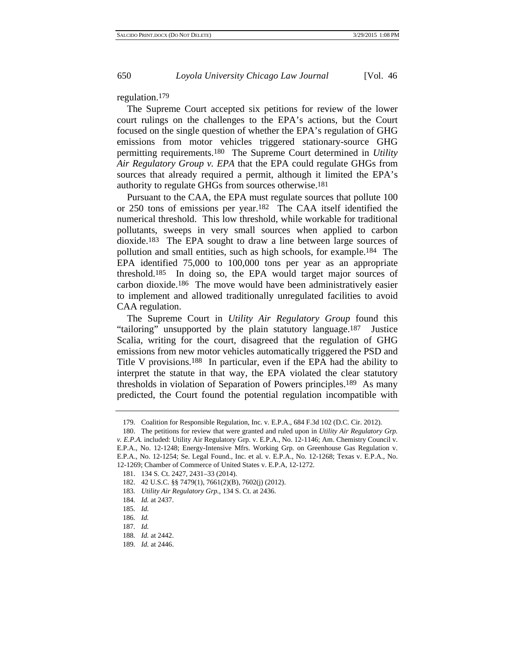regulation.179

The Supreme Court accepted six petitions for review of the lower court rulings on the challenges to the EPA's actions, but the Court focused on the single question of whether the EPA's regulation of GHG emissions from motor vehicles triggered stationary-source GHG permitting requirements.180 The Supreme Court determined in *Utility Air Regulatory Group v. EPA* that the EPA could regulate GHGs from sources that already required a permit, although it limited the EPA's authority to regulate GHGs from sources otherwise.181

Pursuant to the CAA, the EPA must regulate sources that pollute 100 or 250 tons of emissions per year.182 The CAA itself identified the numerical threshold. This low threshold, while workable for traditional pollutants, sweeps in very small sources when applied to carbon dioxide.183 The EPA sought to draw a line between large sources of pollution and small entities, such as high schools, for example.184 The EPA identified 75,000 to 100,000 tons per year as an appropriate threshold.185 In doing so, the EPA would target major sources of carbon dioxide.186 The move would have been administratively easier to implement and allowed traditionally unregulated facilities to avoid CAA regulation.

The Supreme Court in *Utility Air Regulatory Group* found this "tailoring" unsupported by the plain statutory language.187 Justice Scalia, writing for the court, disagreed that the regulation of GHG emissions from new motor vehicles automatically triggered the PSD and Title V provisions.188 In particular, even if the EPA had the ability to interpret the statute in that way, the EPA violated the clear statutory thresholds in violation of Separation of Powers principles.189 As many predicted, the Court found the potential regulation incompatible with

- 182. 42 U.S.C. §§ 7479(1), 7661(2)(B), 7602(j) (2012).
- 183*. Utility Air Regulatory Grp.*, 134 S. Ct. at 2436.
- 184*. Id.* at 2437.
- 185*. Id.*
- 186*. Id.*
- 187*. Id.*
- 188*. Id.* at 2442.
- 189*. Id.* at 2446.

<sup>179.</sup> Coalition for Responsible Regulation, Inc. v. E.P.A., 684 F.3d 102 (D.C. Cir. 2012).

<sup>180.</sup> The petitions for review that were granted and ruled upon in *Utility Air Regulatory Grp. v. E.P.A.* included: Utility Air Regulatory Grp. v. E.P.A., No. 12-1146; Am. Chemistry Council v. E.P.A., No. 12-1248; Energy-Intensive Mfrs. Working Grp. on Greenhouse Gas Regulation v. E.P.A., No. 12-1254; Se. Legal Found., Inc. et al. v. E.P.A., No. 12-1268; Texas v. E.P.A., No. 12-1269; Chamber of Commerce of United States v. E.P.A, 12-1272.

<sup>181. 134</sup> S. Ct. 2427, 2431–33 (2014).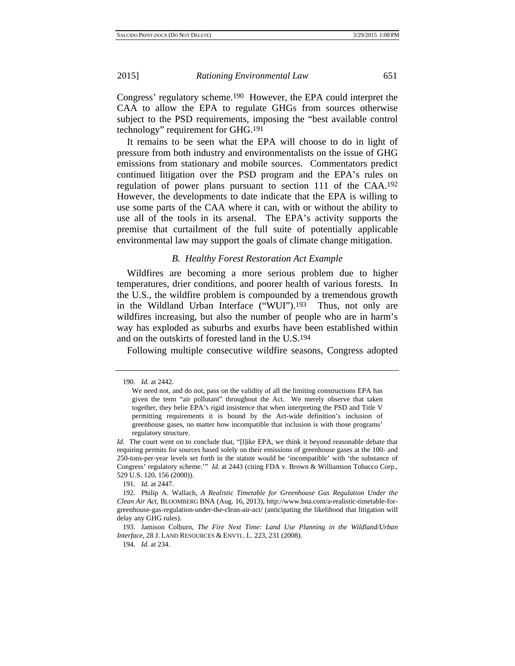Congress' regulatory scheme.190 However, the EPA could interpret the CAA to allow the EPA to regulate GHGs from sources otherwise subject to the PSD requirements, imposing the "best available control technology" requirement for GHG.191

It remains to be seen what the EPA will choose to do in light of pressure from both industry and environmentalists on the issue of GHG emissions from stationary and mobile sources. Commentators predict continued litigation over the PSD program and the EPA's rules on regulation of power plans pursuant to section 111 of the CAA.192 However, the developments to date indicate that the EPA is willing to use some parts of the CAA where it can, with or without the ability to use all of the tools in its arsenal. The EPA's activity supports the premise that curtailment of the full suite of potentially applicable environmental law may support the goals of climate change mitigation.

#### *B. Healthy Forest Restoration Act Example*

Wildfires are becoming a more serious problem due to higher temperatures, drier conditions, and poorer health of various forests. In the U.S., the wildfire problem is compounded by a tremendous growth in the Wildland Urban Interface ("WUI").<sup>193</sup> Thus, not only are wildfires increasing, but also the number of people who are in harm's way has exploded as suburbs and exurbs have been established within and on the outskirts of forested land in the U.S.194

Following multiple consecutive wildfire seasons, Congress adopted

191*. Id.* at 2447.

194*. Id.* at 234.

<sup>190</sup>*. Id.* at 2442.

We need not, and do not, pass on the validity of all the limiting constructions EPA has given the term "air pollutant" throughout the Act. We merely observe that taken together, they belie EPA's rigid insistence that when interpreting the PSD and Title V permitting requirements it is bound by the Act-wide definition's inclusion of greenhouse gases, no matter how incompatible that inclusion is with those programs' regulatory structure.

*Id.* The court went on to conclude that, "[l]ike EPA, we think it beyond reasonable debate that requiring permits for sources based solely on their emissions of greenhouse gases at the 100- and 250-tons-per-year levels set forth in the statute would be 'incompatible' with 'the substance of Congress' regulatory scheme.'" *Id.* at 2443 (citing FDA v. Brown & Williamson Tobacco Corp., 529 U.S. 120, 156 (2000)).

<sup>192.</sup> Philip A. Wallach, *A Realistic Timetable for Greenhouse Gas Regulation Under the Clean Air Act*, BLOOMBERG BNA (Aug. 16, 2013), http://www.bna.com/a-realistic-timetable-forgreenhouse-gas-regulation-under-the-clean-air-act/ (anticipating the likelihood that litigation will delay any GHG rules).

<sup>193.</sup> Jamison Colburn, *The Fire Next Time: Land Use Planning in the Wildland/Urban Interface*, 28 J. LAND RESOURCES & ENVTL. L. 223, 231 (2008).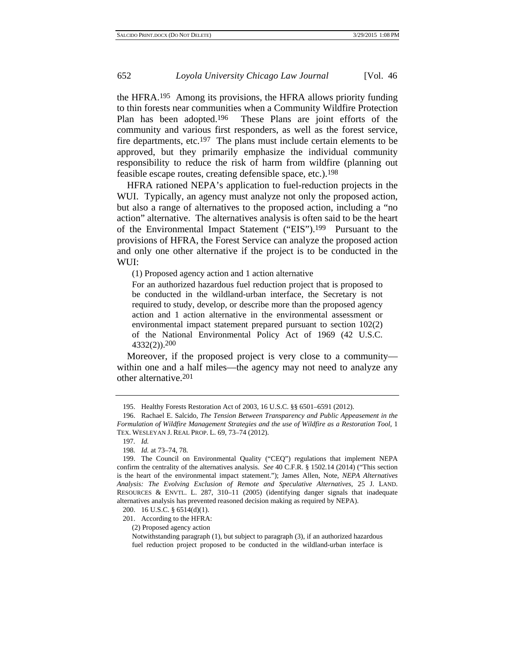the HFRA.195 Among its provisions, the HFRA allows priority funding to thin forests near communities when a Community Wildfire Protection Plan has been adopted.196 These Plans are joint efforts of the community and various first responders, as well as the forest service, fire departments, etc.197 The plans must include certain elements to be approved, but they primarily emphasize the individual community responsibility to reduce the risk of harm from wildfire (planning out feasible escape routes, creating defensible space, etc.).198

HFRA rationed NEPA's application to fuel-reduction projects in the WUI. Typically, an agency must analyze not only the proposed action, but also a range of alternatives to the proposed action, including a "no action" alternative. The alternatives analysis is often said to be the heart of the Environmental Impact Statement ("EIS").199 Pursuant to the provisions of HFRA, the Forest Service can analyze the proposed action and only one other alternative if the project is to be conducted in the WUI:

(1) Proposed agency action and 1 action alternative

For an authorized hazardous fuel reduction project that is proposed to be conducted in the wildland-urban interface, the Secretary is not required to study, develop, or describe more than the proposed agency action and 1 action alternative in the environmental assessment or environmental impact statement prepared pursuant to section 102(2) of the National Environmental Policy Act of 1969 (42 U.S.C. 4332(2)).200

Moreover, if the proposed project is very close to a community within one and a half miles—the agency may not need to analyze any other alternative.201

(2) Proposed agency action

<sup>195.</sup> Healthy Forests Restoration Act of 2003, 16 U.S.C. §§ 6501–6591 (2012).

<sup>196.</sup> Rachael E. Salcido, *The Tension Between Transparency and Public Appeasement in the Formulation of Wildfire Management Strategies and the use of Wildfire as a Restoration Tool*, 1 TEX. WESLEYAN J. REAL PROP. L. 69, 73–74 (2012).

<sup>197</sup>*. Id.*

<sup>198</sup>*. Id.* at 73–74, 78.

<sup>199.</sup> The Council on Environmental Quality ("CEQ") regulations that implement NEPA confirm the centrality of the alternatives analysis. *See* 40 C.F.R. § 1502.14 (2014) ("This section is the heart of the environmental impact statement."); James Allen, Note, *NEPA Alternatives Analysis: The Evolving Exclusion of Remote and Speculative Alternatives*, 25 J. LAND. RESOURCES & ENVTL. L. 287, 310–11 (2005) (identifying danger signals that inadequate alternatives analysis has prevented reasoned decision making as required by NEPA).

<sup>200. 16</sup> U.S.C. § 6514(d)(1).

<sup>201.</sup> According to the HFRA:

Notwithstanding paragraph (1), but subject to paragraph (3), if an authorized hazardous fuel reduction project proposed to be conducted in the wildland-urban interface is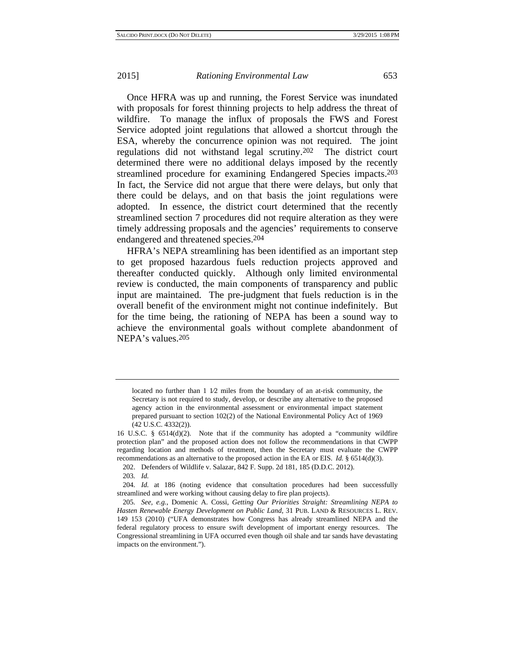Once HFRA was up and running, the Forest Service was inundated with proposals for forest thinning projects to help address the threat of wildfire. To manage the influx of proposals the FWS and Forest Service adopted joint regulations that allowed a shortcut through the ESA, whereby the concurrence opinion was not required. The joint regulations did not withstand legal scrutiny.202 The district court determined there were no additional delays imposed by the recently streamlined procedure for examining Endangered Species impacts.203 In fact, the Service did not argue that there were delays, but only that there could be delays, and on that basis the joint regulations were adopted. In essence, the district court determined that the recently streamlined section 7 procedures did not require alteration as they were timely addressing proposals and the agencies' requirements to conserve endangered and threatened species.204

HFRA's NEPA streamlining has been identified as an important step to get proposed hazardous fuels reduction projects approved and thereafter conducted quickly. Although only limited environmental review is conducted, the main components of transparency and public input are maintained. The pre-judgment that fuels reduction is in the overall benefit of the environment might not continue indefinitely. But for the time being, the rationing of NEPA has been a sound way to achieve the environmental goals without complete abandonment of NEPA's values.205

202. Defenders of Wildlife v. Salazar, 842 F. Supp. 2d 181, 185 (D.D.C. 2012).

located no further than  $1\ 1/2$  miles from the boundary of an at-risk community, the Secretary is not required to study, develop, or describe any alternative to the proposed agency action in the environmental assessment or environmental impact statement prepared pursuant to section 102(2) of the National Environmental Policy Act of 1969 (42 U.S.C. 4332(2)).

<sup>16</sup> U.S.C. § 6514(d)(2). Note that if the community has adopted a "community wildfire protection plan" and the proposed action does not follow the recommendations in that CWPP regarding location and methods of treatment, then the Secretary must evaluate the CWPP recommendations as an alternative to the proposed action in the EA or EIS. *Id.* § 6514(d)(3).

<sup>203</sup>*. Id.*

<sup>204</sup>*. Id.* at 186 (noting evidence that consultation procedures had been successfully streamlined and were working without causing delay to fire plan projects).

<sup>205</sup>*. See, e.g.*, Domenic A. Cossi, *Getting Our Priorities Straight: Streamlining NEPA to Hasten Renewable Energy Development on Public Land*, 31 PUB. LAND & RESOURCES L. REV. 149 153 (2010) ("UFA demonstrates how Congress has already streamlined NEPA and the federal regulatory process to ensure swift development of important energy resources. The Congressional streamlining in UFA occurred even though oil shale and tar sands have devastating impacts on the environment.").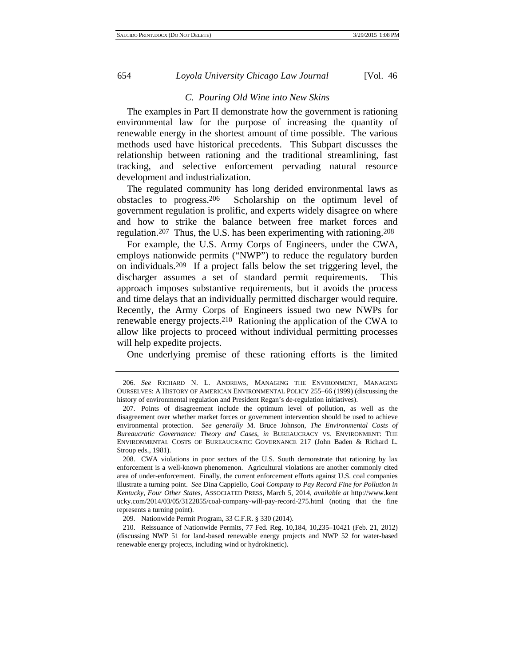## *C. Pouring Old Wine into New Skins*

The examples in Part II demonstrate how the government is rationing environmental law for the purpose of increasing the quantity of renewable energy in the shortest amount of time possible. The various methods used have historical precedents. This Subpart discusses the relationship between rationing and the traditional streamlining, fast tracking, and selective enforcement pervading natural resource development and industrialization.

The regulated community has long derided environmental laws as obstacles to progress.206 Scholarship on the optimum level of government regulation is prolific, and experts widely disagree on where and how to strike the balance between free market forces and regulation.207 Thus, the U.S. has been experimenting with rationing.208

For example, the U.S. Army Corps of Engineers, under the CWA, employs nationwide permits ("NWP") to reduce the regulatory burden on individuals.209 If a project falls below the set triggering level, the discharger assumes a set of standard permit requirements. This approach imposes substantive requirements, but it avoids the process and time delays that an individually permitted discharger would require. Recently, the Army Corps of Engineers issued two new NWPs for renewable energy projects.210 Rationing the application of the CWA to allow like projects to proceed without individual permitting processes will help expedite projects.

One underlying premise of these rationing efforts is the limited

<sup>206</sup>*. See* RICHARD N. L. ANDREWS, MANAGING THE ENVIRONMENT, MANAGING OURSELVES: A HISTORY OF AMERICAN ENVIRONMENTAL POLICY 255–66 (1999) (discussing the history of environmental regulation and President Regan's de-regulation initiatives).

<sup>207.</sup> Points of disagreement include the optimum level of pollution, as well as the disagreement over whether market forces or government intervention should be used to achieve environmental protection. *See generally* M. Bruce Johnson, *The Environmental Costs of Bureaucratic Governance: Theory and Cases*, *in* BUREAUCRACY VS. ENVIRONMENT: THE ENVIRONMENTAL COSTS OF BUREAUCRATIC GOVERNANCE 217 (John Baden & Richard L. Stroup eds., 1981).

<sup>208.</sup> CWA violations in poor sectors of the U.S. South demonstrate that rationing by lax enforcement is a well-known phenomenon. Agricultural violations are another commonly cited area of under-enforcement. Finally, the current enforcement efforts against U.S. coal companies illustrate a turning point. *See* Dina Cappiello, *Coal Company to Pay Record Fine for Pollution in Kentucky, Four Other States*, ASSOCIATED PRESS, March 5, 2014, *available at* http://www.kent ucky.com/2014/03/05/3122855/coal-company-will-pay-record-275.html (noting that the fine represents a turning point).

<sup>209.</sup> Nationwide Permit Program, 33 C.F.R. § 330 (2014).

<sup>210.</sup> Reissuance of Nationwide Permits, 77 Fed. Reg. 10,184, 10,235–10421 (Feb. 21, 2012) (discussing NWP 51 for land-based renewable energy projects and NWP 52 for water-based renewable energy projects, including wind or hydrokinetic).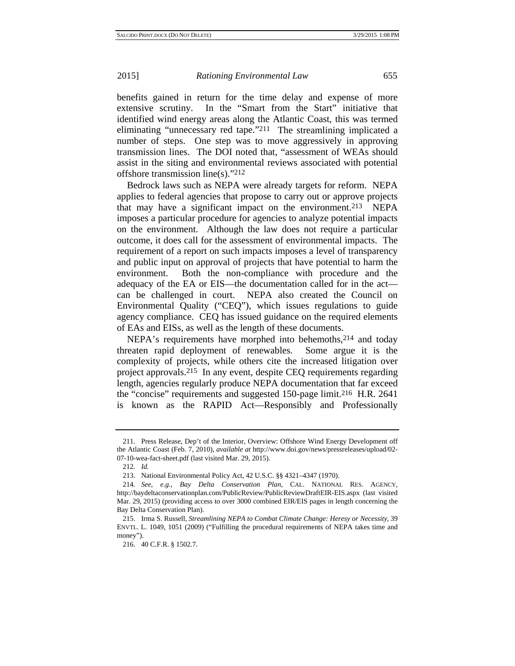benefits gained in return for the time delay and expense of more extensive scrutiny. In the "Smart from the Start" initiative that identified wind energy areas along the Atlantic Coast, this was termed eliminating "unnecessary red tape."211 The streamlining implicated a number of steps. One step was to move aggressively in approving transmission lines. The DOI noted that, "assessment of WEAs should assist in the siting and environmental reviews associated with potential offshore transmission line(s)."212

Bedrock laws such as NEPA were already targets for reform. NEPA applies to federal agencies that propose to carry out or approve projects that may have a significant impact on the environment.213 NEPA imposes a particular procedure for agencies to analyze potential impacts on the environment. Although the law does not require a particular outcome, it does call for the assessment of environmental impacts. The requirement of a report on such impacts imposes a level of transparency and public input on approval of projects that have potential to harm the environment. Both the non-compliance with procedure and the adequacy of the EA or EIS—the documentation called for in the act can be challenged in court. NEPA also created the Council on Environmental Quality ("CEQ"), which issues regulations to guide agency compliance. CEQ has issued guidance on the required elements of EAs and EISs, as well as the length of these documents.

NEPA's requirements have morphed into behemoths, <sup>214</sup> and today threaten rapid deployment of renewables. Some argue it is the complexity of projects, while others cite the increased litigation over project approvals.215 In any event, despite CEQ requirements regarding length, agencies regularly produce NEPA documentation that far exceed the "concise" requirements and suggested 150-page limit.216 H.R. 2641 is known as the RAPID Act—Responsibly and Professionally

<sup>211.</sup> Press Release, Dep't of the Interior, Overview: Offshore Wind Energy Development off the Atlantic Coast (Feb. 7, 2010), *available at* http://www.doi.gov/news/pressreleases/upload/02- 07-10-wea-fact-sheet.pdf (last visited Mar. 29, 2015).

<sup>212</sup>*. Id.*

<sup>213.</sup> National Environmental Policy Act, 42 U.S.C. §§ 4321–4347 (1970).

<sup>214</sup>*. See, e.g.*, *Bay Delta Conservation Plan*, CAL. NATIONAL RES. AGENCY, http://baydeltaconservationplan.com/PublicReview/PublicReviewDraftEIR-EIS.aspx (last visited Mar. 29, 2015) (providing access to over 3000 combined EIR/EIS pages in length concerning the Bay Delta Conservation Plan).

<sup>215.</sup> Irma S. Russell, *Streamlining NEPA to Combat Climate Change: Heresy or Necessity*, 39 ENVTL. L. 1049, 1051 (2009) ("Fulfilling the procedural requirements of NEPA takes time and money").

<sup>216. 40</sup> C.F.R. § 1502.7.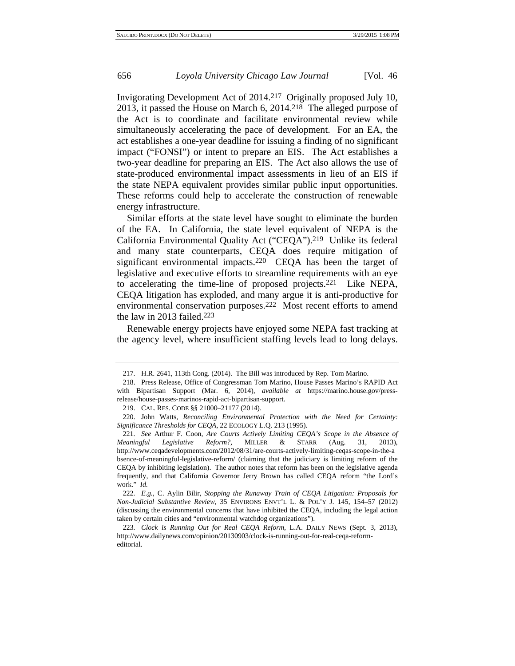Invigorating Development Act of 2014.217 Originally proposed July 10, 2013, it passed the House on March 6, 2014.218 The alleged purpose of the Act is to coordinate and facilitate environmental review while simultaneously accelerating the pace of development. For an EA, the act establishes a one-year deadline for issuing a finding of no significant impact ("FONSI") or intent to prepare an EIS. The Act establishes a two-year deadline for preparing an EIS. The Act also allows the use of state-produced environmental impact assessments in lieu of an EIS if the state NEPA equivalent provides similar public input opportunities. These reforms could help to accelerate the construction of renewable energy infrastructure.

Similar efforts at the state level have sought to eliminate the burden of the EA. In California, the state level equivalent of NEPA is the California Environmental Quality Act ("CEQA").219 Unlike its federal and many state counterparts, CEQA does require mitigation of significant environmental impacts.220 CEQA has been the target of legislative and executive efforts to streamline requirements with an eye to accelerating the time-line of proposed projects.221 Like NEPA, CEQA litigation has exploded, and many argue it is anti-productive for environmental conservation purposes.222 Most recent efforts to amend the law in 2013 failed.223

Renewable energy projects have enjoyed some NEPA fast tracking at the agency level, where insufficient staffing levels lead to long delays.

<sup>217.</sup> H.R. 2641, 113th Cong. (2014). The Bill was introduced by Rep. Tom Marino.

<sup>218.</sup> Press Release, Office of Congressman Tom Marino, House Passes Marino's RAPID Act with Bipartisan Support (Mar. 6, 2014), *available at* https://marino.house.gov/pressrelease/house-passes-marinos-rapid-act-bipartisan-support.

<sup>219.</sup> CAL. RES. CODE §§ 21000–21177 (2014).

<sup>220.</sup> John Watts, *Reconciling Environmental Protection with the Need for Certainty: Significance Thresholds for CEQA*, 22 ECOLOGY L.Q. 213 (1995).

<sup>221</sup>*. See* Arthur F. Coon, *Are Courts Actively Limiting CEQA's Scope in the Absence of Meaningful Legislative Reform?*, MILLER & STARR (Aug. 31, 2013), http://www.ceqadevelopments.com/2012/08/31/are-courts-actively-limiting-ceqas-scope-in-the-a bsence-of-meaningful-legislative-reform/ (claiming that the judiciary is limiting reform of the CEQA by inhibiting legislation). The author notes that reform has been on the legislative agenda frequently, and that California Governor Jerry Brown has called CEQA reform "the Lord's work." *Id.*

<sup>222</sup>*. E.g.*, C. Aylin Bilir, *Stopping the Runaway Train of CEQA Litigation: Proposals for Non-Judicial Substantive Review*, 35 ENVIRONS ENVT'L L. & POL'Y J. 145, 154–57 (2012) (discussing the environmental concerns that have inhibited the CEQA, including the legal action taken by certain cities and "environmental watchdog organizations").

<sup>223</sup>*. Clock is Running Out for Real CEQA Reform*, L.A. DAILY NEWS (Sept. 3, 2013), http://www.dailynews.com/opinion/20130903/clock-is-running-out-for-real-ceqa-reformeditorial.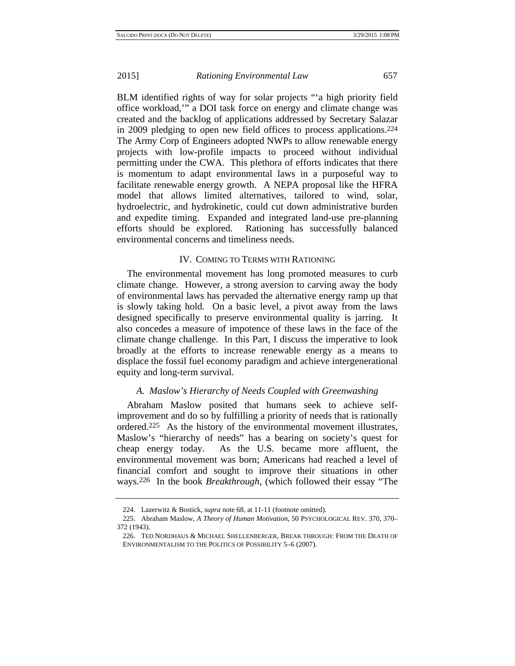BLM identified rights of way for solar projects "'a high priority field office workload,'" a DOI task force on energy and climate change was created and the backlog of applications addressed by Secretary Salazar in 2009 pledging to open new field offices to process applications.224 The Army Corp of Engineers adopted NWPs to allow renewable energy projects with low-profile impacts to proceed without individual permitting under the CWA. This plethora of efforts indicates that there is momentum to adapt environmental laws in a purposeful way to facilitate renewable energy growth. A NEPA proposal like the HFRA model that allows limited alternatives, tailored to wind, solar, hydroelectric, and hydrokinetic, could cut down administrative burden and expedite timing. Expanded and integrated land-use pre-planning efforts should be explored. Rationing has successfully balanced environmental concerns and timeliness needs.

# IV. COMING TO TERMS WITH RATIONING

The environmental movement has long promoted measures to curb climate change. However, a strong aversion to carving away the body of environmental laws has pervaded the alternative energy ramp up that is slowly taking hold. On a basic level, a pivot away from the laws designed specifically to preserve environmental quality is jarring. It also concedes a measure of impotence of these laws in the face of the climate change challenge. In this Part, I discuss the imperative to look broadly at the efforts to increase renewable energy as a means to displace the fossil fuel economy paradigm and achieve intergenerational equity and long-term survival.

# *A. Maslow's Hierarchy of Needs Coupled with Greenwashing*

Abraham Maslow posited that humans seek to achieve selfimprovement and do so by fulfilling a priority of needs that is rationally ordered.225 As the history of the environmental movement illustrates, Maslow's "hierarchy of needs" has a bearing on society's quest for cheap energy today. As the U.S. became more affluent, the environmental movement was born; Americans had reached a level of financial comfort and sought to improve their situations in other ways.226 In the book *Breakthrough*, (which followed their essay "The

<sup>224.</sup> Lazerwitz & Bostick, *supra* note 68, at 11-11 (footnote omitted).

<sup>225.</sup> Abraham Maslow, *A Theory of Human Motivation*, 50 PSYCHOLOGICAL REV. 370, 370– 372 (1943).

<sup>226.</sup> TED NORDHAUS & MICHAEL SHELLENBERGER, BREAK THROUGH: FROM THE DEATH OF ENVIRONMENTALISM TO THE POLITICS OF POSSIBILITY 5–6 (2007).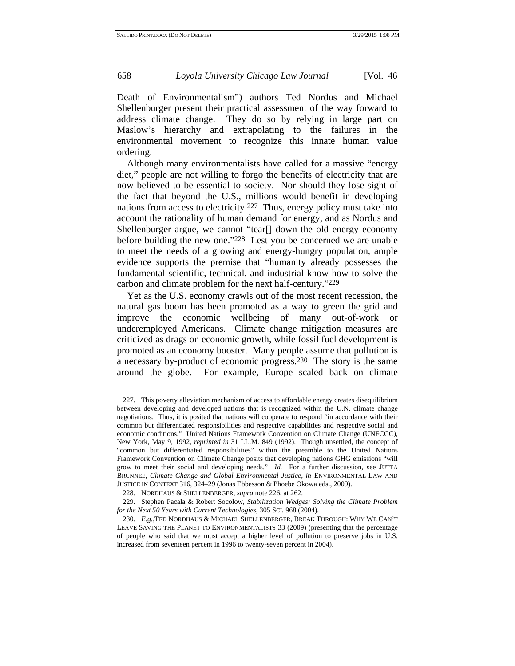Death of Environmentalism") authors Ted Nordus and Michael Shellenburger present their practical assessment of the way forward to address climate change. They do so by relying in large part on Maslow's hierarchy and extrapolating to the failures in the environmental movement to recognize this innate human value ordering.

Although many environmentalists have called for a massive "energy diet," people are not willing to forgo the benefits of electricity that are now believed to be essential to society. Nor should they lose sight of the fact that beyond the U.S., millions would benefit in developing nations from access to electricity.227 Thus, energy policy must take into account the rationality of human demand for energy, and as Nordus and Shellenburger argue, we cannot "tear[] down the old energy economy before building the new one."228 Lest you be concerned we are unable to meet the needs of a growing and energy-hungry population, ample evidence supports the premise that "humanity already possesses the fundamental scientific, technical, and industrial know-how to solve the carbon and climate problem for the next half-century."229

Yet as the U.S. economy crawls out of the most recent recession, the natural gas boom has been promoted as a way to green the grid and improve the economic wellbeing of many out-of-work or underemployed Americans. Climate change mitigation measures are criticized as drags on economic growth, while fossil fuel development is promoted as an economy booster. Many people assume that pollution is a necessary by-product of economic progress.230 The story is the same around the globe. For example, Europe scaled back on climate

<sup>227.</sup> This poverty alleviation mechanism of access to affordable energy creates disequilibrium between developing and developed nations that is recognized within the U.N. climate change negotiations. Thus, it is posited that nations will cooperate to respond "in accordance with their common but differentiated responsibilities and respective capabilities and respective social and economic conditions." United Nations Framework Convention on Climate Change (UNFCCC), New York, May 9, 1992, *reprinted in* 31 I.L.M. 849 (1992). Though unsettled, the concept of "common but differentiated responsibilities" within the preamble to the United Nations Framework Convention on Climate Change posits that developing nations GHG emissions "will grow to meet their social and developing needs." *Id.* For a further discussion, see JUTTA BRUNNEE, *Climate Change and Global Environmental Justice*, *in* ENVIRONMENTAL LAW AND JUSTICE IN CONTEXT 316, 324–29 (Jonas Ebbesson & Phoebe Okowa eds., 2009).

<sup>228.</sup> NORDHAUS & SHELLENBERGER, *supra* note 226, at 262.

<sup>229.</sup> Stephen Pacala & Robert Socolow, *Stabilization Wedges: Solving the Climate Problem for the Next 50 Years with Current Technologies*, 305 SCI. 968 (2004).

<sup>230</sup>*. E.g.*,TED NORDHAUS & MICHAEL SHELLENBERGER, BREAK THROUGH: WHY WE CAN'T LEAVE SAVING THE PLANET TO ENVIRONMENTALISTS 33 (2009) (presenting that the percentage of people who said that we must accept a higher level of pollution to preserve jobs in U.S. increased from seventeen percent in 1996 to twenty-seven percent in 2004).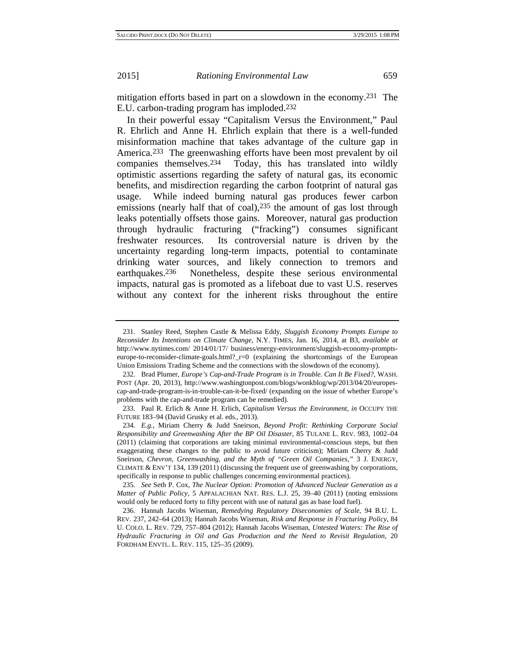mitigation efforts based in part on a slowdown in the economy.231 The E.U. carbon-trading program has imploded.232

In their powerful essay "Capitalism Versus the Environment," Paul R. Ehrlich and Anne H. Ehrlich explain that there is a well-funded misinformation machine that takes advantage of the culture gap in America.233 The greenwashing efforts have been most prevalent by oil companies themselves.234 Today, this has translated into wildly optimistic assertions regarding the safety of natural gas, its economic benefits, and misdirection regarding the carbon footprint of natural gas usage. While indeed burning natural gas produces fewer carbon emissions (nearly half that of coal),<sup>235</sup> the amount of gas lost through leaks potentially offsets those gains. Moreover, natural gas production through hydraulic fracturing ("fracking") consumes significant freshwater resources. Its controversial nature is driven by the uncertainty regarding long-term impacts, potential to contaminate drinking water sources, and likely connection to tremors and earthquakes.236 Nonetheless, despite these serious environmental impacts, natural gas is promoted as a lifeboat due to vast U.S. reserves without any context for the inherent risks throughout the entire

<sup>231.</sup> Stanley Reed, Stephen Castle & Melissa Eddy, *Sluggish Economy Prompts Europe to Reconsider Its Intentions on Climate Change*, N.Y. TIMES, Jan. 16, 2014, at B3, *available at* http://www.nytimes.com/ 2014/01/17/ business/energy-environment/sluggish-economy-promptseurope-to-reconsider-climate-goals.html?\_r=0 (explaining the shortcomings of the European Union Emissions Trading Scheme and the connections with the slowdown of the economy).

<sup>232.</sup> Brad Plumer, *Europe's Cap-and-Trade Program is in Trouble. Can It Be Fixed?*, WASH. POST (Apr. 20, 2013), http://www.washingtonpost.com/blogs/wonkblog/wp/2013/04/20/europescap-and-trade-program-is-in-trouble-can-it-be-fixed/ (expanding on the issue of whether Europe's problems with the cap-and-trade program can be remedied).

<sup>233.</sup> Paul R. Erlich & Anne H. Erlich, *Capitalism Versus the Environment*, *in* OCCUPY THE FUTURE 183–94 (David Grusky et al. eds., 2013).

<sup>234</sup>*. E.g.*, Miriam Cherry & Judd Sneirson, *Beyond Profit: Rethinking Corporate Social Responsibility and Greenwashing After the BP Oil Disaster*, 85 TULANE L. REV. 983, 1002–04 (2011) (claiming that corporations are taking minimal environmental-conscious steps, but then exaggerating these changes to the public to avoid future criticism); Miriam Cherry & Judd Sneirson, *Chevron, Greenwashing, and the Myth of "Green Oil Companies*,*"* 3 J. ENERGY, CLIMATE & ENV'T 134, 139 (2011) (discussing the frequent use of greenwashing by corporations, specifically in response to public challenges concerning environmental practices).

<sup>235</sup>*. See* Seth P. Cox, *The Nuclear Option: Promotion of Advanced Nuclear Generation as a Matter of Public Policy,* 5 APPALACHIAN NAT. RES. L.J. 25, 39–40 (2011) (noting emissions would only be reduced forty to fifty percent with use of natural gas as base load fuel).

<sup>236.</sup> Hannah Jacobs Wiseman, *Remedying Regulatory Diseconomies of Scale*, 94 B.U. L. REV. 237, 242–64 (2013); Hannah Jacobs Wiseman, *Risk and Response in Fracturing Policy*, 84 U. COLO. L. REV. 729, 757–804 (2012); Hannah Jacobs Wiseman, *Untested Waters: The Rise of Hydraulic Fracturing in Oil and Gas Production and the Need to Revisit Regulation*, 20 FORDHAM ENVTL. L. REV. 115, 125–35 (2009).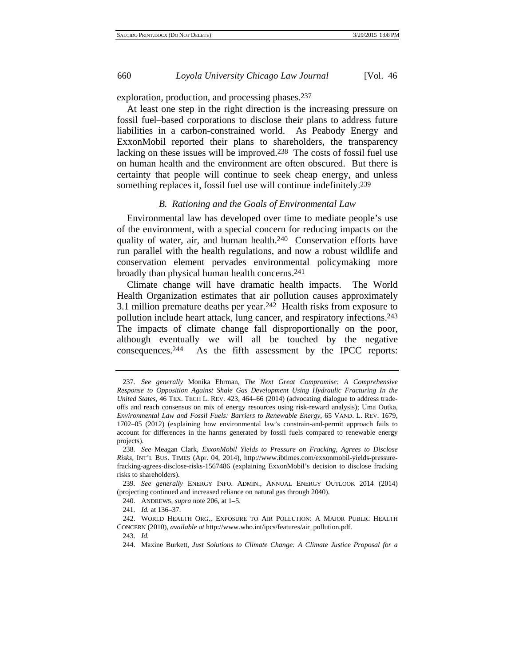exploration, production, and processing phases.237

At least one step in the right direction is the increasing pressure on fossil fuel–based corporations to disclose their plans to address future liabilities in a carbon-constrained world. As Peabody Energy and ExxonMobil reported their plans to shareholders, the transparency lacking on these issues will be improved.238 The costs of fossil fuel use on human health and the environment are often obscured. But there is certainty that people will continue to seek cheap energy, and unless something replaces it, fossil fuel use will continue indefinitely.<sup>239</sup>

#### *B. Rationing and the Goals of Environmental Law*

Environmental law has developed over time to mediate people's use of the environment, with a special concern for reducing impacts on the quality of water, air, and human health.240 Conservation efforts have run parallel with the health regulations, and now a robust wildlife and conservation element pervades environmental policymaking more broadly than physical human health concerns.241

Climate change will have dramatic health impacts. The World Health Organization estimates that air pollution causes approximately 3.1 million premature deaths per year. $24\overline{2}$  Health risks from exposure to pollution include heart attack, lung cancer, and respiratory infections.243 The impacts of climate change fall disproportionally on the poor, although eventually we will all be touched by the negative consequences.244 As the fifth assessment by the IPCC reports:

239*. See generally* ENERGY INFO. ADMIN., ANNUAL ENERGY OUTLOOK 2014 (2014) (projecting continued and increased reliance on natural gas through 2040).

240. ANDREWS, *supra* note 206, at 1–5.

<sup>237</sup>*. See generally* Monika Ehrman, *The Next Great Compromise: A Comprehensive Response to Opposition Against Shale Gas Development Using Hydraulic Fracturing In the United States*, 46 TEX. TECH L. REV. 423, 464–66 (2014) (advocating dialogue to address tradeoffs and reach consensus on mix of energy resources using risk-reward analysis); Uma Outka, *Environmental Law and Fossil Fuels: Barriers to Renewable Energy*, 65 VAND. L. REV. 1679, 1702–05 (2012) (explaining how environmental law's constrain-and-permit approach fails to account for differences in the harms generated by fossil fuels compared to renewable energy projects).

<sup>238</sup>*. See* Meagan Clark, *ExxonMobil Yields to Pressure on Fracking, Agrees to Disclose Risks*, INT'L BUS. TIMES (Apr. 04, 2014), http://www.ibtimes.com/exxonmobil-yields-pressurefracking-agrees-disclose-risks-1567486 (explaining ExxonMobil's decision to disclose fracking risks to shareholders).

<sup>241</sup>*. Id.* at 136–37.

<sup>242.</sup> WORLD HEALTH ORG., EXPOSURE TO AIR POLLUTION: A MAJOR PUBLIC HEALTH CONCERN (2010), *available at* http://www.who.int/ipcs/features/air\_pollution.pdf.

<sup>243</sup>*. Id.*

<sup>244.</sup> Maxine Burkett, *Just Solutions to Climate Change: A Climate Justice Proposal for a*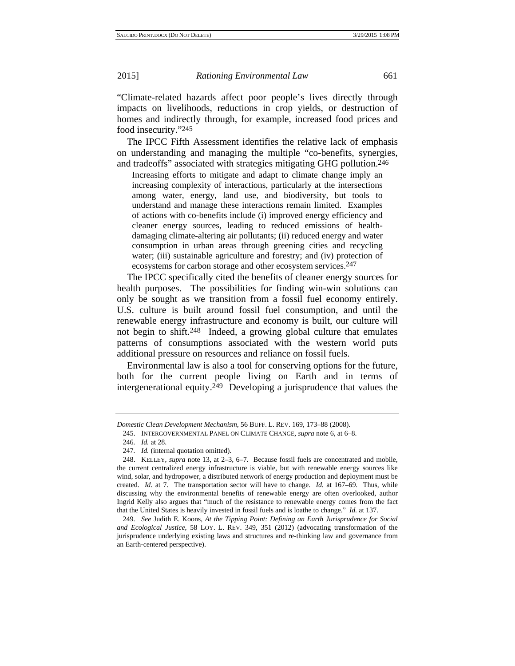"Climate-related hazards affect poor people's lives directly through impacts on livelihoods, reductions in crop yields, or destruction of homes and indirectly through, for example, increased food prices and food insecurity."245

The IPCC Fifth Assessment identifies the relative lack of emphasis on understanding and managing the multiple "co-benefits, synergies, and tradeoffs" associated with strategies mitigating GHG pollution.246

Increasing efforts to mitigate and adapt to climate change imply an increasing complexity of interactions, particularly at the intersections among water, energy, land use, and biodiversity, but tools to understand and manage these interactions remain limited. Examples of actions with co-benefits include (i) improved energy efficiency and cleaner energy sources, leading to reduced emissions of healthdamaging climate-altering air pollutants; (ii) reduced energy and water consumption in urban areas through greening cities and recycling water; (iii) sustainable agriculture and forestry; and (iv) protection of ecosystems for carbon storage and other ecosystem services.<sup>247</sup>

The IPCC specifically cited the benefits of cleaner energy sources for health purposes. The possibilities for finding win-win solutions can only be sought as we transition from a fossil fuel economy entirely. U.S. culture is built around fossil fuel consumption, and until the renewable energy infrastructure and economy is built, our culture will not begin to shift.248 Indeed, a growing global culture that emulates patterns of consumptions associated with the western world puts additional pressure on resources and reliance on fossil fuels.

Environmental law is also a tool for conserving options for the future, both for the current people living on Earth and in terms of intergenerational equity.249 Developing a jurisprudence that values the

249*. See* Judith E. Koons, *At the Tipping Point: Defining an Earth Jurisprudence for Social and Ecological Justice*, 58 LOY. L. REV. 349, 351 (2012) (advocating transformation of the jurisprudence underlying existing laws and structures and re-thinking law and governance from an Earth-centered perspective).

*Domestic Clean Development Mechanism*, 56 BUFF. L. REV. 169, 173–88 (2008).

<sup>245.</sup> INTERGOVERNMENTAL PANEL ON CLIMATE CHANGE, *supra* note 6, at 6–8.

<sup>246</sup>*. Id.* at 28.

<sup>247</sup>*. Id.* (internal quotation omitted).

<sup>248.</sup> KELLEY, *supra* note 13, at 2–3, 6–7. Because fossil fuels are concentrated and mobile, the current centralized energy infrastructure is viable, but with renewable energy sources like wind, solar, and hydropower, a distributed network of energy production and deployment must be created. *Id.* at 7. The transportation sector will have to change. *Id.* at 167–69. Thus, while discussing why the environmental benefits of renewable energy are often overlooked, author Ingrid Kelly also argues that "much of the resistance to renewable energy comes from the fact that the United States is heavily invested in fossil fuels and is loathe to change." *Id.* at 137.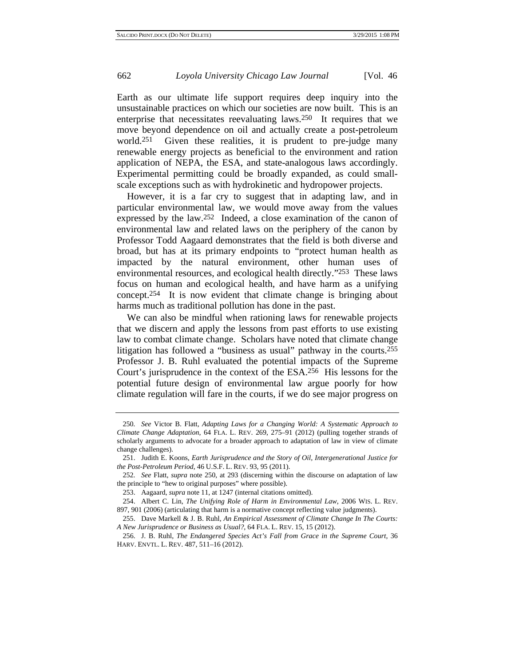Earth as our ultimate life support requires deep inquiry into the unsustainable practices on which our societies are now built. This is an enterprise that necessitates reevaluating laws.250 It requires that we move beyond dependence on oil and actually create a post-petroleum world.<sup>251</sup> Given these realities, it is prudent to pre-judge many renewable energy projects as beneficial to the environment and ration application of NEPA, the ESA, and state-analogous laws accordingly. Experimental permitting could be broadly expanded, as could smallscale exceptions such as with hydrokinetic and hydropower projects.

However, it is a far cry to suggest that in adapting law, and in particular environmental law, we would move away from the values expressed by the law.252 Indeed, a close examination of the canon of environmental law and related laws on the periphery of the canon by Professor Todd Aagaard demonstrates that the field is both diverse and broad, but has at its primary endpoints to "protect human health as impacted by the natural environment, other human uses of environmental resources, and ecological health directly."253 These laws focus on human and ecological health, and have harm as a unifying concept.254 It is now evident that climate change is bringing about harms much as traditional pollution has done in the past.

We can also be mindful when rationing laws for renewable projects that we discern and apply the lessons from past efforts to use existing law to combat climate change. Scholars have noted that climate change litigation has followed a "business as usual" pathway in the courts.255 Professor J. B. Ruhl evaluated the potential impacts of the Supreme Court's jurisprudence in the context of the ESA.256 His lessons for the potential future design of environmental law argue poorly for how climate regulation will fare in the courts, if we do see major progress on

<sup>250</sup>*. See* Victor B. Flatt, *Adapting Laws for a Changing World: A Systematic Approach to Climate Change Adaptation*, 64 FLA. L. REV. 269, 275–91 (2012) (pulling together strands of scholarly arguments to advocate for a broader approach to adaptation of law in view of climate change challenges).

<sup>251.</sup> Judith E. Koons, *Earth Jurisprudence and the Story of Oil, Intergenerational Justice for the Post-Petroleum Period*, 46 U.S.F. L. REV. 93, 95 (2011).

<sup>252</sup>*. See* Flatt, *supra* note 250, at 293 (discerning within the discourse on adaptation of law the principle to "hew to original purposes" where possible).

<sup>253.</sup> Aagaard, *supra* note 11, at 1247 (internal citations omitted).

<sup>254.</sup> Albert C. Lin, *The Unifying Role of Harm in Environmental Law*, 2006 WIS. L. REV. 897, 901 (2006) (articulating that harm is a normative concept reflecting value judgments).

<sup>255.</sup> Dave Markell & J. B. Ruhl, *An Empirical Assessment of Climate Change In The Courts: A New Jurisprudence or Business as Usual?*, 64 FLA. L. REV. 15, 15 (2012).

<sup>256.</sup> J. B. Ruhl, *The Endangered Species Act's Fall from Grace in the Supreme Court*, 36 HARV. ENVTL. L. REV. 487, 511–16 (2012).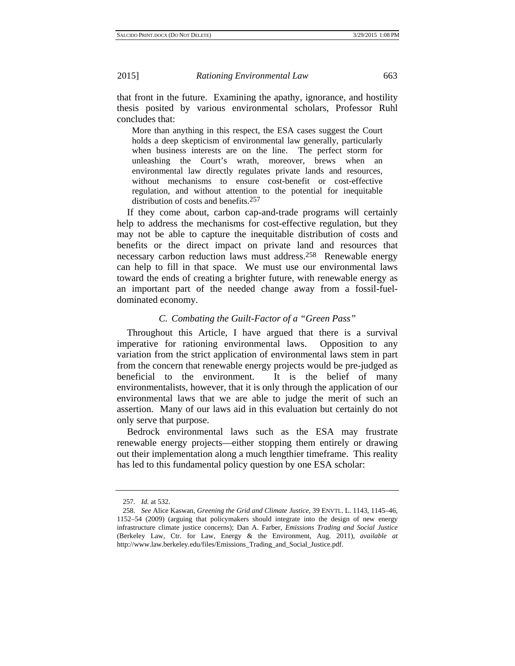that front in the future. Examining the apathy, ignorance, and hostility thesis posited by various environmental scholars, Professor Ruhl concludes that:

More than anything in this respect, the ESA cases suggest the Court holds a deep skepticism of environmental law generally, particularly when business interests are on the line. The perfect storm for unleashing the Court's wrath, moreover, brews when an environmental law directly regulates private lands and resources, without mechanisms to ensure cost-benefit or cost-effective regulation, and without attention to the potential for inequitable distribution of costs and benefits.257

If they come about, carbon cap-and-trade programs will certainly help to address the mechanisms for cost-effective regulation, but they may not be able to capture the inequitable distribution of costs and benefits or the direct impact on private land and resources that necessary carbon reduction laws must address.258 Renewable energy can help to fill in that space. We must use our environmental laws toward the ends of creating a brighter future, with renewable energy as an important part of the needed change away from a fossil-fueldominated economy.

# *C. Combating the Guilt-Factor of a "Green Pass"*

Throughout this Article, I have argued that there is a survival imperative for rationing environmental laws. Opposition to any variation from the strict application of environmental laws stem in part from the concern that renewable energy projects would be pre-judged as beneficial to the environment. It is the belief of many environmentalists, however, that it is only through the application of our environmental laws that we are able to judge the merit of such an assertion. Many of our laws aid in this evaluation but certainly do not only serve that purpose.

Bedrock environmental laws such as the ESA may frustrate renewable energy projects—either stopping them entirely or drawing out their implementation along a much lengthier timeframe. This reality has led to this fundamental policy question by one ESA scholar:

<sup>257</sup>*. Id.* at 532.

<sup>258</sup>*. See* Alice Kaswan, *Greening the Grid and Climate Justice*, 39 ENVTL. L. 1143, 1145–46, 1152–54 (2009) (arguing that policymakers should integrate into the design of new energy infrastructure climate justice concerns); Dan A. Farber, *Emissions Trading and Social Justice* (Berkeley Law, Ctr. for Law, Energy & the Environment, Aug. 2011), *available at* http://www.law.berkeley.edu/files/Emissions\_Trading\_and\_Social\_Justice.pdf.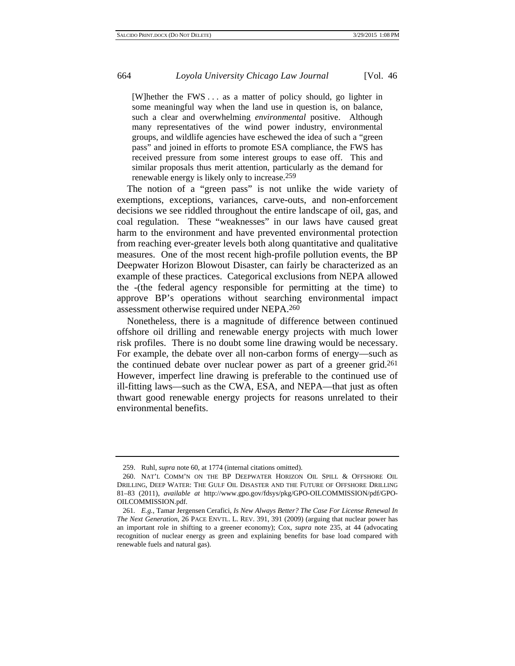[W]hether the FWS . . . as a matter of policy should, go lighter in some meaningful way when the land use in question is, on balance, such a clear and overwhelming *environmental* positive. Although many representatives of the wind power industry, environmental groups, and wildlife agencies have eschewed the idea of such a "green pass" and joined in efforts to promote ESA compliance, the FWS has received pressure from some interest groups to ease off. This and similar proposals thus merit attention, particularly as the demand for renewable energy is likely only to increase.259

The notion of a "green pass" is not unlike the wide variety of exemptions, exceptions, variances, carve-outs, and non-enforcement decisions we see riddled throughout the entire landscape of oil, gas, and coal regulation. These "weaknesses" in our laws have caused great harm to the environment and have prevented environmental protection from reaching ever-greater levels both along quantitative and qualitative measures. One of the most recent high-profile pollution events, the BP Deepwater Horizon Blowout Disaster, can fairly be characterized as an example of these practices. Categorical exclusions from NEPA allowed the -(the federal agency responsible for permitting at the time) to approve BP's operations without searching environmental impact assessment otherwise required under NEPA.260

Nonetheless, there is a magnitude of difference between continued offshore oil drilling and renewable energy projects with much lower risk profiles. There is no doubt some line drawing would be necessary. For example, the debate over all non-carbon forms of energy—such as the continued debate over nuclear power as part of a greener grid.261 However, imperfect line drawing is preferable to the continued use of ill-fitting laws—such as the CWA, ESA, and NEPA—that just as often thwart good renewable energy projects for reasons unrelated to their environmental benefits.

<sup>259.</sup> Ruhl, *supra* note 60, at 1774 (internal citations omitted).

<sup>260.</sup> NAT'L COMM'N ON THE BP DEEPWATER HORIZON OIL SPILL & OFFSHORE OIL DRILLING, DEEP WATER: THE GULF OIL DISASTER AND THE FUTURE OF OFFSHORE DRILLING 81–83 (2011), *available at* http://www.gpo.gov/fdsys/pkg/GPO-OILCOMMISSION/pdf/GPO-OILCOMMISSION.pdf.

<sup>261</sup>*. E.g.*, Tamar Jergensen Cerafici, *Is New Always Better? The Case For License Renewal In The Next Generation*, 26 PACE ENVTL. L. REV. 391, 391 (2009) (arguing that nuclear power has an important role in shifting to a greener economy); Cox, *supra* note 235, at 44 (advocating recognition of nuclear energy as green and explaining benefits for base load compared with renewable fuels and natural gas).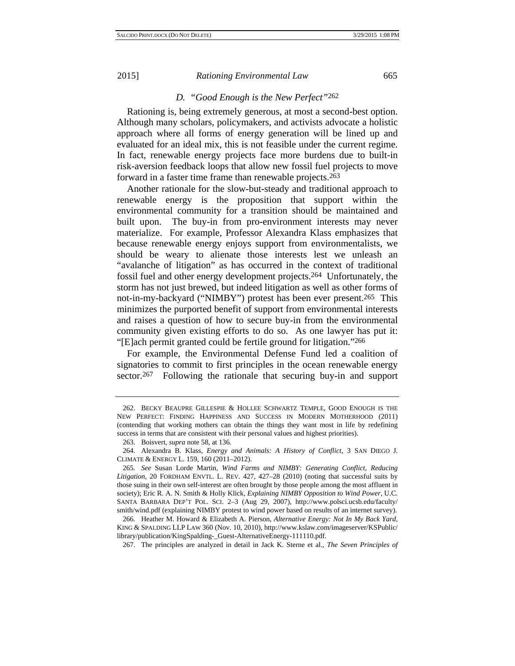# *D. "Good Enough is the New Perfect"*262

Rationing is, being extremely generous, at most a second-best option. Although many scholars, policymakers, and activists advocate a holistic approach where all forms of energy generation will be lined up and evaluated for an ideal mix, this is not feasible under the current regime. In fact, renewable energy projects face more burdens due to built-in risk-aversion feedback loops that allow new fossil fuel projects to move forward in a faster time frame than renewable projects.263

Another rationale for the slow-but-steady and traditional approach to renewable energy is the proposition that support within the environmental community for a transition should be maintained and built upon. The buy-in from pro-environment interests may never materialize. For example, Professor Alexandra Klass emphasizes that because renewable energy enjoys support from environmentalists, we should be weary to alienate those interests lest we unleash an "avalanche of litigation" as has occurred in the context of traditional fossil fuel and other energy development projects.264 Unfortunately, the storm has not just brewed, but indeed litigation as well as other forms of not-in-my-backyard ("NIMBY") protest has been ever present.265 This minimizes the purported benefit of support from environmental interests and raises a question of how to secure buy-in from the environmental community given existing efforts to do so. As one lawyer has put it: "[E]ach permit granted could be fertile ground for litigation."266

For example, the Environmental Defense Fund led a coalition of signatories to commit to first principles in the ocean renewable energy sector.<sup>267</sup> Following the rationale that securing buy-in and support

<sup>262.</sup> BECKY BEAUPRE GILLESPIE & HOLLEE SCHWARTZ TEMPLE, GOOD ENOUGH IS THE NEW PERFECT: FINDING HAPPINESS AND SUCCESS IN MODERN MOTHERHOOD (2011) (contending that working mothers can obtain the things they want most in life by redefining success in terms that are consistent with their personal values and highest priorities).

<sup>263.</sup> Boisvert, *supra* note 58, at 136.

<sup>264.</sup> Alexandra B. Klass, *Energy and Animals: A History of Conflict*, 3 SAN DIEGO J. CLIMATE & ENERGY L. 159, 160 (2011–2012).

<sup>265</sup>*. See* Susan Lorde Martin, *Wind Farms and NIMBY: Generating Conflict, Reducing Litigation*, 20 FORDHAM ENVTL. L. REV. 427, 427–28 (2010) (noting that successful suits by those suing in their own self-interest are often brought by those people among the most affluent in society); Eric R. A. N. Smith & Holly Klick, *Explaining NIMBY Opposition to Wind Power*, U.C. SANTA BARBARA DEP'T POL. SCI. 2–3 (Aug 29, 2007), http://www.polsci.ucsb.edu/faculty/ smith/wind.pdf (explaining NIMBY protest to wind power based on results of an internet survey).

<sup>266.</sup> Heather M. Howard & Elizabeth A. Pierson, *Alternative Energy: Not In My Back Yard*, KING & SPALDING LLP LAW 360 (Nov. 10, 2010), http://www.kslaw.com/imageserver/KSPublic/ library/publication/KingSpalding-\_Guest-AlternativeEnergy-111110.pdf.

<sup>267.</sup> The principles are analyzed in detail in Jack K. Sterne et al., *The Seven Principles of*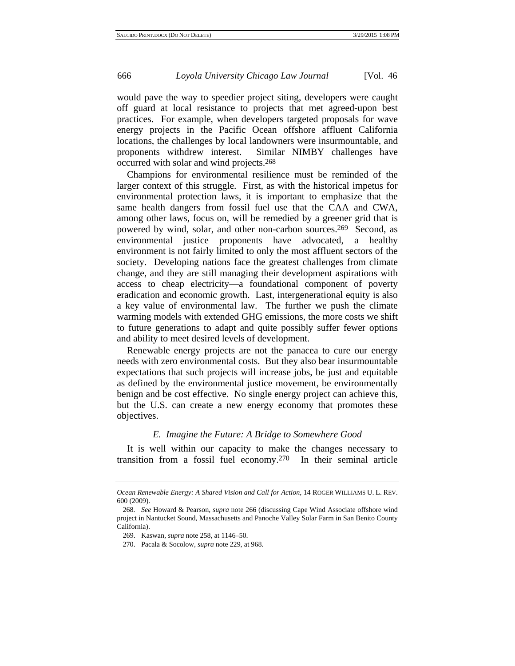would pave the way to speedier project siting, developers were caught off guard at local resistance to projects that met agreed-upon best practices. For example, when developers targeted proposals for wave energy projects in the Pacific Ocean offshore affluent California locations, the challenges by local landowners were insurmountable, and proponents withdrew interest. Similar NIMBY challenges have occurred with solar and wind projects.268

Champions for environmental resilience must be reminded of the larger context of this struggle. First, as with the historical impetus for environmental protection laws, it is important to emphasize that the same health dangers from fossil fuel use that the CAA and CWA, among other laws, focus on, will be remedied by a greener grid that is powered by wind, solar, and other non-carbon sources.269 Second, as environmental justice proponents have advocated, a healthy environment is not fairly limited to only the most affluent sectors of the society. Developing nations face the greatest challenges from climate change, and they are still managing their development aspirations with access to cheap electricity—a foundational component of poverty eradication and economic growth. Last, intergenerational equity is also a key value of environmental law. The further we push the climate warming models with extended GHG emissions, the more costs we shift to future generations to adapt and quite possibly suffer fewer options and ability to meet desired levels of development.

Renewable energy projects are not the panacea to cure our energy needs with zero environmental costs. But they also bear insurmountable expectations that such projects will increase jobs, be just and equitable as defined by the environmental justice movement, be environmentally benign and be cost effective. No single energy project can achieve this, but the U.S. can create a new energy economy that promotes these objectives.

#### *E. Imagine the Future: A Bridge to Somewhere Good*

It is well within our capacity to make the changes necessary to transition from a fossil fuel economy.270 In their seminal article

*Ocean Renewable Energy: A Shared Vision and Call for Action*, 14 ROGER WILLIAMS U. L. REV. 600 (2009).

<sup>268</sup>*. See* Howard & Pearson, *supra* note 266 (discussing Cape Wind Associate offshore wind project in Nantucket Sound, Massachusetts and Panoche Valley Solar Farm in San Benito County California).

<sup>269.</sup> Kaswan, *supra* note 258, at 1146–50.

<sup>270.</sup> Pacala & Socolow, *supra* note 229, at 968.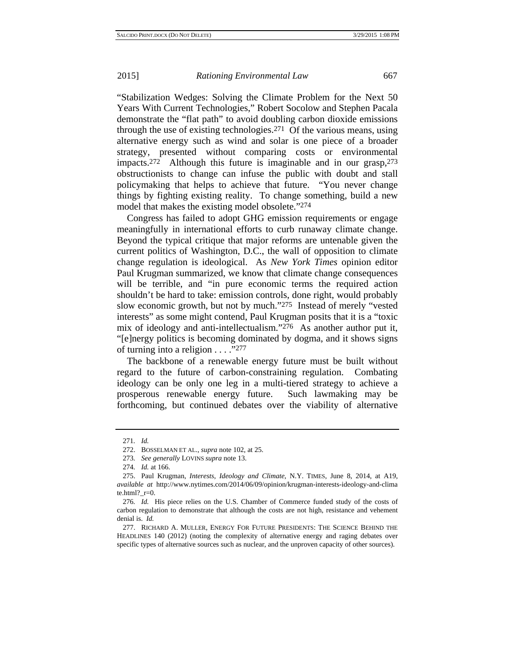"Stabilization Wedges: Solving the Climate Problem for the Next 50 Years With Current Technologies," Robert Socolow and Stephen Pacala demonstrate the "flat path" to avoid doubling carbon dioxide emissions through the use of existing technologies.271 Of the various means, using alternative energy such as wind and solar is one piece of a broader strategy, presented without comparing costs or environmental impacts.272 Although this future is imaginable and in our grasp,273 obstructionists to change can infuse the public with doubt and stall policymaking that helps to achieve that future. "You never change things by fighting existing reality. To change something, build a new model that makes the existing model obsolete."274

Congress has failed to adopt GHG emission requirements or engage meaningfully in international efforts to curb runaway climate change. Beyond the typical critique that major reforms are untenable given the current politics of Washington, D.C., the wall of opposition to climate change regulation is ideological. As *New York Times* opinion editor Paul Krugman summarized, we know that climate change consequences will be terrible, and "in pure economic terms the required action shouldn't be hard to take: emission controls, done right, would probably slow economic growth, but not by much."275 Instead of merely "vested interests" as some might contend, Paul Krugman posits that it is a "toxic mix of ideology and anti-intellectualism."276 As another author put it, "[e]nergy politics is becoming dominated by dogma, and it shows signs of turning into a religion . . . ."277

The backbone of a renewable energy future must be built without regard to the future of carbon-constraining regulation. Combating ideology can be only one leg in a multi-tiered strategy to achieve a prosperous renewable energy future. Such lawmaking may be forthcoming, but continued debates over the viability of alternative

<sup>271</sup>*. Id.*

<sup>272.</sup> BOSSELMAN ET AL., *supra* note 102, at 25.

<sup>273</sup>*. See generally* LOVINS *supra* note 13.

<sup>274</sup>*. Id.* at 166.

<sup>275.</sup> Paul Krugman, *Interests, Ideology and Climate*, N.Y. TIMES, June 8, 2014, at A19, *available at* http://www.nytimes.com/2014/06/09/opinion/krugman-interests-ideology-and-clima te.html? $r=0$ .

<sup>276</sup>*. Id.* His piece relies on the U.S. Chamber of Commerce funded study of the costs of carbon regulation to demonstrate that although the costs are not high, resistance and vehement denial is. *Id.* 

<sup>277.</sup> RICHARD A. MULLER, ENERGY FOR FUTURE PRESIDENTS: THE SCIENCE BEHIND THE HEADLINES 140 (2012) (noting the complexity of alternative energy and raging debates over specific types of alternative sources such as nuclear, and the unproven capacity of other sources).